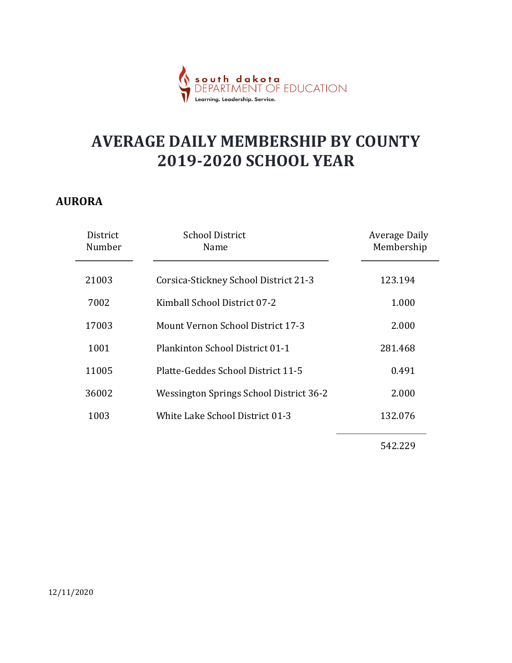

#### AURORA

|                            | Learning. Leadership. Service                                             |                                    |  |
|----------------------------|---------------------------------------------------------------------------|------------------------------------|--|
|                            | <b>AVERAGE DAILY MEMBERSHIP BY COUNTY</b><br><b>2019-2020 SCHOOL YEAR</b> |                                    |  |
| RORA<br>District<br>Number | <b>School District</b><br>Name                                            | <b>Average Daily</b><br>Membership |  |
| 21003                      | Corsica-Stickney School District 21-3                                     | 123.194                            |  |
| 7002                       | Kimball School District 07-2                                              | 1.000                              |  |
| 17003                      | Mount Vernon School District 17-3                                         | 2.000                              |  |
| 1001                       | Plankinton School District 01-1                                           | 281.468                            |  |
| 11005                      | Platte-Geddes School District 11-5                                        | 0.491                              |  |
| 36002                      | Wessington Springs School District 36-2                                   | 2.000                              |  |
| 1003                       | White Lake School District 01-3                                           | 132.076                            |  |
|                            |                                                                           | 542.229                            |  |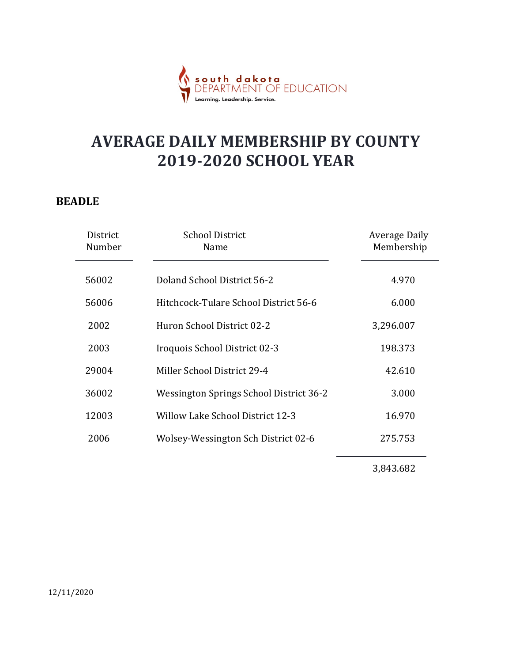

#### BEADLE

|                    | <mark>h dakota</mark><br>RTMENT OF EDUCATION                              |                                    |
|--------------------|---------------------------------------------------------------------------|------------------------------------|
|                    | <b>AVERAGE DAILY MEMBERSHIP BY COUNTY</b><br><b>2019-2020 SCHOOL YEAR</b> |                                    |
| <b>ADLE</b>        |                                                                           |                                    |
| District<br>Number | <b>School District</b><br>Name                                            | <b>Average Daily</b><br>Membership |
| 56002              | Doland School District 56-2                                               | 4.970                              |
| 56006              | Hitchcock-Tulare School District 56-6                                     | 6.000                              |
| 2002               | Huron School District 02-2                                                | 3,296.007                          |
| 2003               | Iroquois School District 02-3                                             | 198.373                            |
| 29004              | Miller School District 29-4                                               | 42.610                             |
| 36002              | <b>Wessington Springs School District 36-2</b>                            | 3.000                              |
| 12003              | <b>Willow Lake School District 12-3</b>                                   | 16.970                             |
| 2006               | Wolsey-Wessington Sch District 02-6                                       | 275.753                            |
|                    |                                                                           | 3,843.682                          |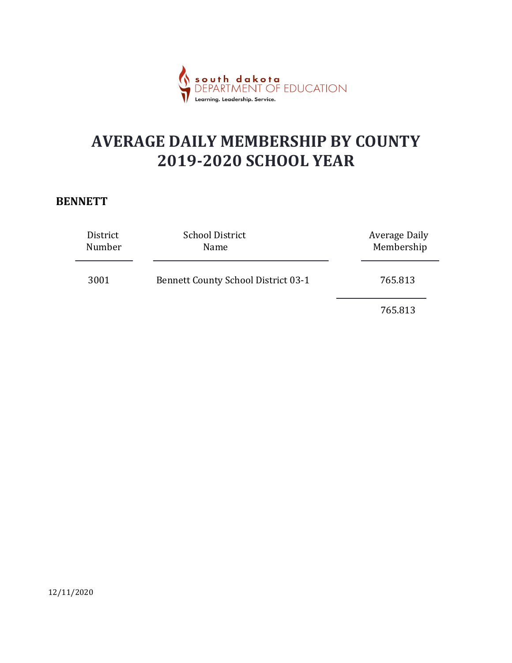

#### **BENNETT**

|                    | south dakota<br>DEPARTMENT OF EDUCATION<br>Learning. Leadership. Service. |                                    |  |
|--------------------|---------------------------------------------------------------------------|------------------------------------|--|
|                    | <b>AVERAGE DAILY MEMBERSHIP BY COUNTY</b><br><b>2019-2020 SCHOOL YEAR</b> |                                    |  |
| <b>NNETT</b>       |                                                                           |                                    |  |
| District<br>Number | <b>School District</b><br>Name                                            | <b>Average Daily</b><br>Membership |  |
| 3001               | <b>Bennett County School District 03-1</b>                                | 765.813                            |  |
|                    |                                                                           | 765.813                            |  |
|                    |                                                                           |                                    |  |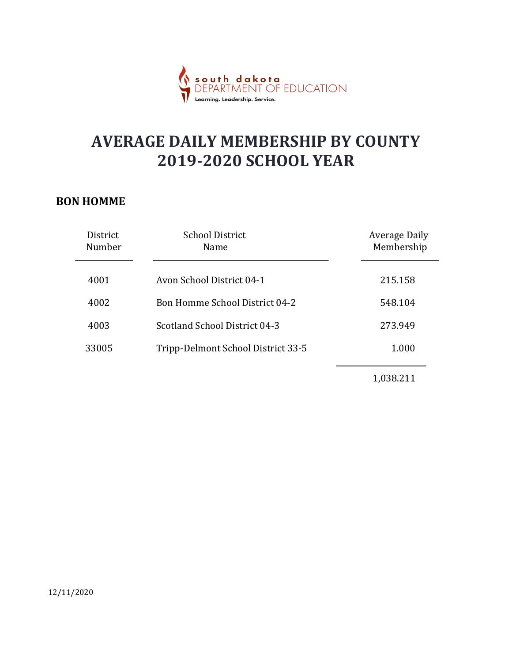

#### BON HOMME

|                                                                           | dakota<br>MENT OF EDUCATION<br>Learning. Leadership. Service. |                                    |
|---------------------------------------------------------------------------|---------------------------------------------------------------|------------------------------------|
| <b>AVERAGE DAILY MEMBERSHIP BY COUNTY</b><br><b>2019-2020 SCHOOL YEAR</b> |                                                               |                                    |
| N HOMME<br>District<br>Number                                             | <b>School District</b><br>Name                                | <b>Average Daily</b><br>Membership |
| 4001                                                                      | Avon School District 04-1                                     | 215.158                            |
| 4002                                                                      | Bon Homme School District 04-2                                | 548.104                            |
| 4003                                                                      | Scotland School District 04-3                                 | 273.949                            |
| 33005                                                                     | Tripp-Delmont School District 33-5                            | 1.000                              |
|                                                                           |                                                               | 1,038.211                          |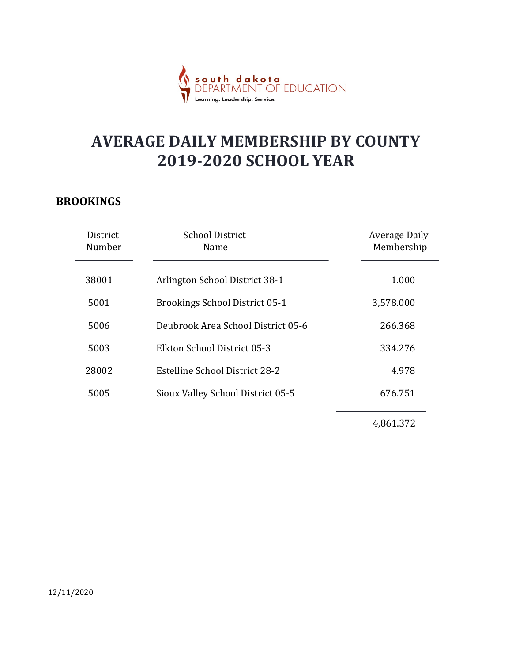

#### BROOKINGS

|                    | dakota<br>MENT OF EDUCATION                                               |                                    |
|--------------------|---------------------------------------------------------------------------|------------------------------------|
|                    | <b>AVERAGE DAILY MEMBERSHIP BY COUNTY</b><br><b>2019-2020 SCHOOL YEAR</b> |                                    |
| <b>OOKINGS</b>     |                                                                           |                                    |
| District<br>Number | <b>School District</b><br>Name                                            | <b>Average Daily</b><br>Membership |
| 38001              | Arlington School District 38-1                                            | 1.000                              |
| 5001               | <b>Brookings School District 05-1</b>                                     | 3,578.000                          |
| 5006               | Deubrook Area School District 05-6                                        | 266.368                            |
| 5003               | Elkton School District 05-3                                               | 334.276                            |
| 28002              | <b>Estelline School District 28-2</b>                                     | 4.978                              |
| 5005               | Sioux Valley School District 05-5                                         | 676.751                            |
|                    |                                                                           | 4,861.372                          |
|                    |                                                                           |                                    |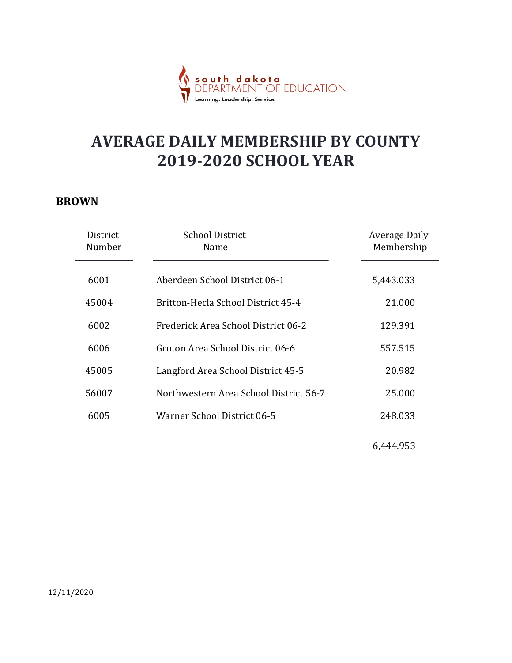

#### BROWN

|                    | south dakota<br>DFPARTMENT OF EDUCATION<br>Learning. Leadership. Service. |                                    |
|--------------------|---------------------------------------------------------------------------|------------------------------------|
|                    | <b>AVERAGE DAILY MEMBERSHIP BY COUNTY</b><br><b>2019-2020 SCHOOL YEAR</b> |                                    |
| <b>JWN</b>         |                                                                           |                                    |
| District<br>Number | <b>School District</b><br>Name                                            | <b>Average Daily</b><br>Membership |
| 6001               | Aberdeen School District 06-1                                             | 5,443.033                          |
| 45004              | Britton-Hecla School District 45-4                                        | 21.000                             |
| 6002               | Frederick Area School District 06-2                                       | 129.391                            |
| 6006               | Groton Area School District 06-6                                          | 557.515                            |
| 45005              | Langford Area School District 45-5                                        | 20.982                             |
| 56007              | Northwestern Area School District 56-7                                    | 25.000                             |
| 6005               | Warner School District 06-5                                               | 248.033                            |
|                    |                                                                           | 6,444.953                          |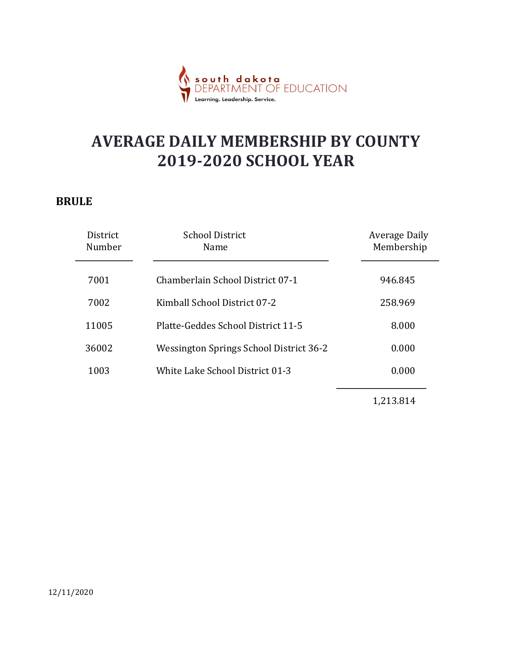

#### BRULE

|                    | r <mark>akota</mark><br>IFNT OF EDUCATION<br>Learning. Leadership. Service. |                                    |
|--------------------|-----------------------------------------------------------------------------|------------------------------------|
|                    | <b>AVERAGE DAILY MEMBERSHIP BY COUNTY</b><br><b>2019-2020 SCHOOL YEAR</b>   |                                    |
| JLE                |                                                                             |                                    |
| District<br>Number | <b>School District</b><br>Name                                              | <b>Average Daily</b><br>Membership |
| 7001               | Chamberlain School District 07-1                                            | 946.845                            |
| 7002               | Kimball School District 07-2                                                | 258.969                            |
| 11005              | Platte-Geddes School District 11-5                                          | 8.000                              |
| 36002              | Wessington Springs School District 36-2                                     | 0.000                              |
| 1003               | White Lake School District 01-3                                             | 0.000                              |
|                    |                                                                             | 1,213.814                          |
|                    |                                                                             |                                    |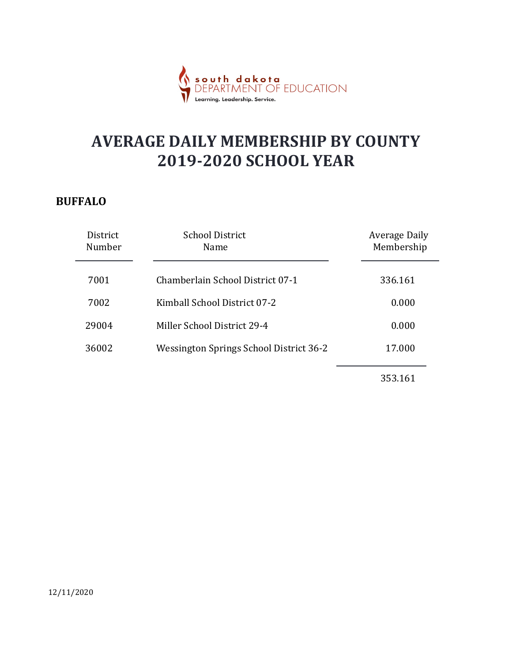

#### BUFFALO

|                                                                           | dakota<br>MENT OF EDUCATION<br>Learning. Leadership. Service. |                                    |
|---------------------------------------------------------------------------|---------------------------------------------------------------|------------------------------------|
| <b>AVERAGE DAILY MEMBERSHIP BY COUNTY</b><br><b>2019-2020 SCHOOL YEAR</b> |                                                               |                                    |
| <b>FFALO</b><br>District                                                  | <b>School District</b>                                        |                                    |
| Number                                                                    | Name                                                          | <b>Average Daily</b><br>Membership |
| 7001                                                                      | Chamberlain School District 07-1                              | 336.161                            |
| 7002                                                                      | Kimball School District 07-2                                  | 0.000                              |
| 29004                                                                     | Miller School District 29-4                                   | 0.000                              |
| 36002                                                                     | Wessington Springs School District 36-2                       | 17.000                             |
|                                                                           |                                                               | 353.161                            |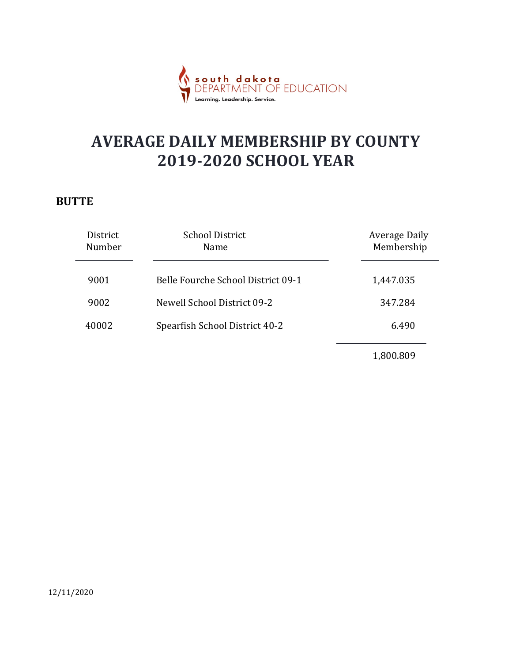

#### **BUTTE**

|                    | <b>th dakota</b><br>RTMENT OF EDUCATION<br>.<br>Learning. Leadership. Service. |                                    |
|--------------------|--------------------------------------------------------------------------------|------------------------------------|
|                    | <b>AVERAGE DAILY MEMBERSHIP BY COUNTY</b><br><b>2019-2020 SCHOOL YEAR</b>      |                                    |
| <b>TTE</b>         |                                                                                |                                    |
| District<br>Number | <b>School District</b><br>Name                                                 | <b>Average Daily</b><br>Membership |
| 9001               | Belle Fourche School District 09-1                                             | 1,447.035                          |
| 9002               | Newell School District 09-2                                                    | 347.284                            |
| 40002              | Spearfish School District 40-2                                                 | 6.490                              |
|                    |                                                                                | 1,800.809                          |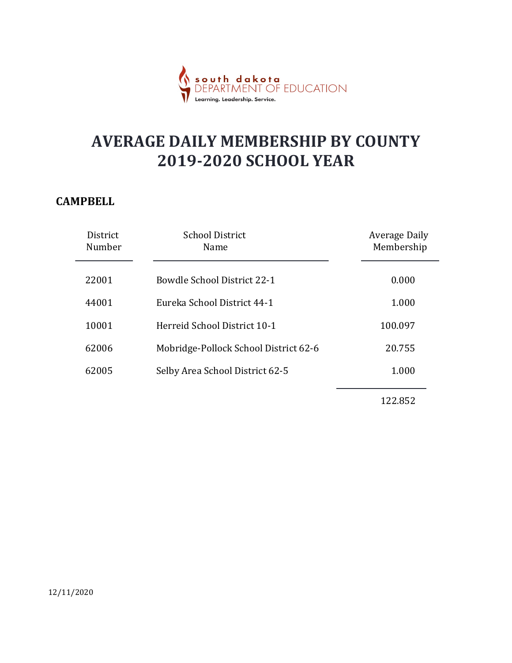

#### **CAMPBELL**

|                    | <mark>dakota</mark><br>MENT OF EDUCATION<br>Learnina. Leadership. Service |                                    |
|--------------------|---------------------------------------------------------------------------|------------------------------------|
|                    | <b>AVERAGE DAILY MEMBERSHIP BY COUNTY</b><br><b>2019-2020 SCHOOL YEAR</b> |                                    |
| MPBELL             |                                                                           |                                    |
| District<br>Number | <b>School District</b><br>Name                                            | <b>Average Daily</b><br>Membership |
| 22001              | <b>Bowdle School District 22-1</b>                                        | 0.000                              |
| 44001              | Eureka School District 44-1                                               | 1.000                              |
| 10001              | Herreid School District 10-1                                              | 100.097                            |
| 62006              | Mobridge-Pollock School District 62-6                                     | 20.755                             |
| 62005              | Selby Area School District 62-5                                           | 1.000                              |
|                    |                                                                           | 122.852                            |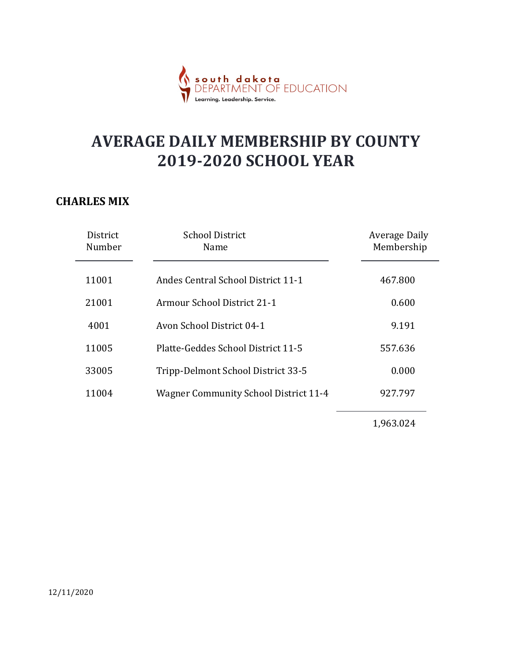

#### CHARLES MIX

|                    | dakota<br>MENT OF EDUCATION                                               |                                    |
|--------------------|---------------------------------------------------------------------------|------------------------------------|
|                    | <b>AVERAGE DAILY MEMBERSHIP BY COUNTY</b><br><b>2019-2020 SCHOOL YEAR</b> |                                    |
| <b>ARLES MIX</b>   |                                                                           |                                    |
| District<br>Number | <b>School District</b><br>Name                                            | <b>Average Daily</b><br>Membership |
| 11001              | Andes Central School District 11-1                                        | 467.800                            |
| 21001              | Armour School District 21-1                                               | 0.600                              |
| 4001               | Avon School District 04-1                                                 | 9.191                              |
| 11005              | Platte-Geddes School District 11-5                                        | 557.636                            |
| 33005              | Tripp-Delmont School District 33-5                                        | 0.000                              |
| 11004              | <b>Wagner Community School District 11-4</b>                              | 927.797                            |
|                    |                                                                           | 1,963.024                          |
|                    |                                                                           |                                    |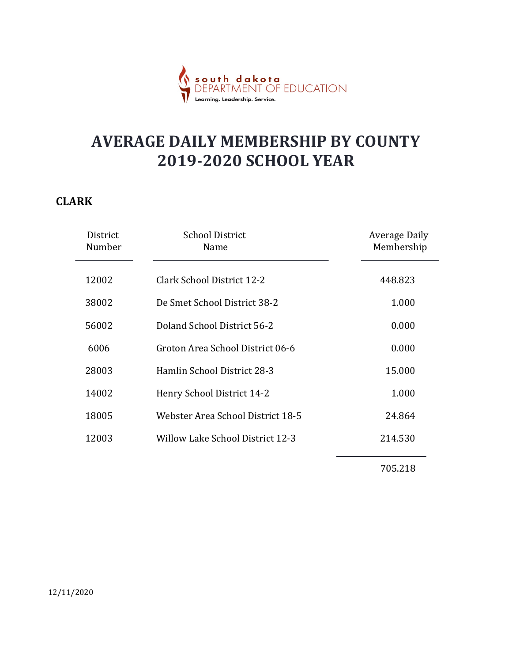

#### CLARK

|                    | <mark>th dakota</mark><br>ARTMENT OF EDUCATION                            |                                    |
|--------------------|---------------------------------------------------------------------------|------------------------------------|
|                    | <b>AVERAGE DAILY MEMBERSHIP BY COUNTY</b><br><b>2019-2020 SCHOOL YEAR</b> |                                    |
| <b>RK</b>          |                                                                           |                                    |
| District<br>Number | <b>School District</b><br>Name                                            | <b>Average Daily</b><br>Membership |
| 12002              | <b>Clark School District 12-2</b>                                         | 448.823                            |
| 38002              | De Smet School District 38-2                                              | 1.000                              |
| 56002              | Doland School District 56-2                                               | 0.000                              |
| 6006               | Groton Area School District 06-6                                          | 0.000                              |
| 28003              | Hamlin School District 28-3                                               | 15.000                             |
| 14002              | Henry School District 14-2                                                | 1.000                              |
| 18005              | Webster Area School District 18-5                                         | 24.864                             |
| 12003              | <b>Willow Lake School District 12-3</b>                                   | 214.530                            |
|                    |                                                                           | 705.218                            |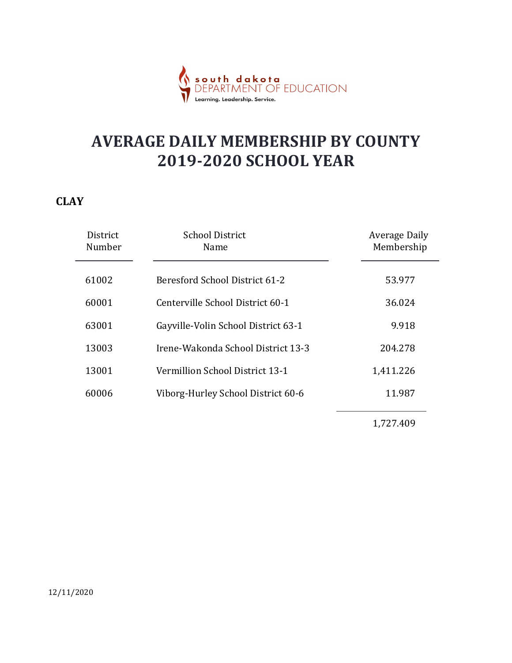

#### **CLAY**

|                    | <mark>dakota</mark><br>MENT OF EDUCATION<br>Learning. Leadership. Service. |                                    |
|--------------------|----------------------------------------------------------------------------|------------------------------------|
|                    | <b>AVERAGE DAILY MEMBERSHIP BY COUNTY</b><br><b>2019-2020 SCHOOL YEAR</b>  |                                    |
| <b>IY</b>          |                                                                            |                                    |
| District<br>Number | <b>School District</b><br>Name                                             | <b>Average Daily</b><br>Membership |
| 61002              | Beresford School District 61-2                                             | 53.977                             |
| 60001              | Centerville School District 60-1                                           | 36.024                             |
| 63001              | Gayville-Volin School District 63-1                                        | 9.918                              |
| 13003              | Irene-Wakonda School District 13-3                                         | 204.278                            |
| 13001              | Vermillion School District 13-1                                            | 1,411.226                          |
| 60006              | Viborg-Hurley School District 60-6                                         | 11.987                             |
|                    |                                                                            | 1,727.409                          |
|                    |                                                                            |                                    |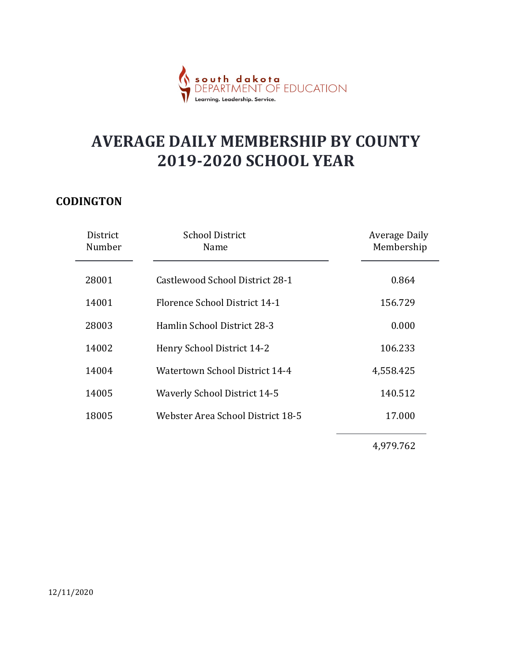

#### **CODINGTON**

|                    | south dakota<br>DEPARTMENT OF EDUCATION<br>Learning. Leadership. Service. |                                    |
|--------------------|---------------------------------------------------------------------------|------------------------------------|
|                    | <b>AVERAGE DAILY MEMBERSHIP BY COUNTY</b><br><b>2019-2020 SCHOOL YEAR</b> |                                    |
| DINGTON            |                                                                           |                                    |
| District<br>Number | <b>School District</b><br>Name                                            | <b>Average Daily</b><br>Membership |
| 28001              | Castlewood School District 28-1                                           | 0.864                              |
| 14001              | Florence School District 14-1                                             | 156.729                            |
| 28003              | Hamlin School District 28-3                                               | 0.000                              |
| 14002              | Henry School District 14-2                                                | 106.233                            |
| 14004              | Watertown School District 14-4                                            | 4,558.425                          |
| 14005              | <b>Waverly School District 14-5</b>                                       | 140.512                            |
| 18005              | Webster Area School District 18-5                                         | 17.000                             |
|                    |                                                                           | 4,979.762                          |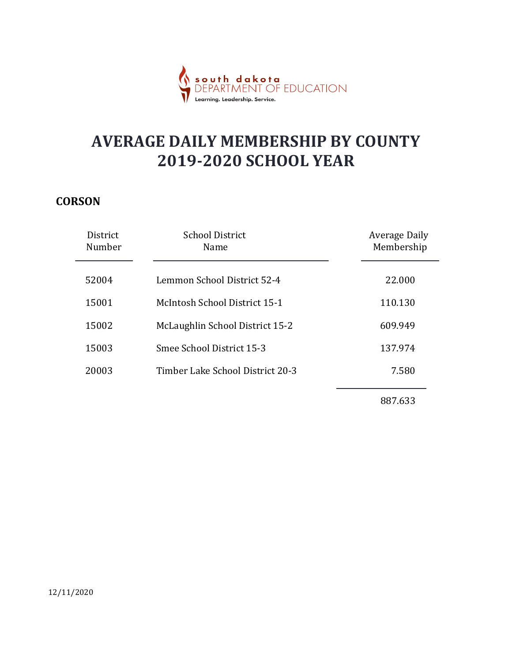

#### **CORSON**

|                    | <b>dakota</b><br>MENT OF EDUCATION<br>Learnina. Leadership. Service       |                                    |
|--------------------|---------------------------------------------------------------------------|------------------------------------|
|                    | <b>AVERAGE DAILY MEMBERSHIP BY COUNTY</b><br><b>2019-2020 SCHOOL YEAR</b> |                                    |
| <b>RSON</b>        |                                                                           |                                    |
| District<br>Number | <b>School District</b><br>Name                                            | <b>Average Daily</b><br>Membership |
| 52004              | Lemmon School District 52-4                                               | 22.000                             |
| 15001              | McIntosh School District 15-1                                             | 110.130                            |
| 15002              | McLaughlin School District 15-2                                           | 609.949                            |
| 15003              | Smee School District 15-3                                                 | 137.974                            |
| 20003              | Timber Lake School District 20-3                                          | 7.580                              |
|                    |                                                                           | 887.633                            |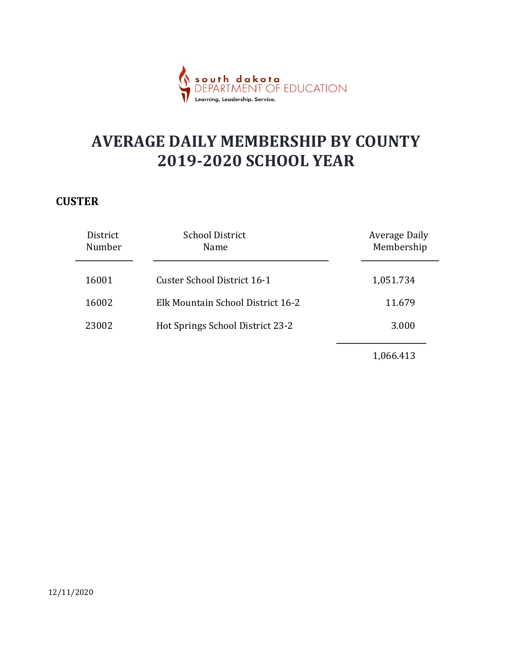

#### **CUSTER**

|                    | dakota<br>MENT OF EDUCATION<br>Learning. Leadership. Service.             |                                    |
|--------------------|---------------------------------------------------------------------------|------------------------------------|
|                    | <b>AVERAGE DAILY MEMBERSHIP BY COUNTY</b><br><b>2019-2020 SCHOOL YEAR</b> |                                    |
| <b>STER</b>        |                                                                           |                                    |
| District<br>Number | <b>School District</b><br>Name                                            | <b>Average Daily</b><br>Membership |
| 16001              | <b>Custer School District 16-1</b>                                        | 1,051.734                          |
| 16002              | Elk Mountain School District 16-2                                         | 11.679                             |
| 23002              | Hot Springs School District 23-2                                          | 3.000                              |
|                    |                                                                           | 1,066.413                          |
|                    |                                                                           |                                    |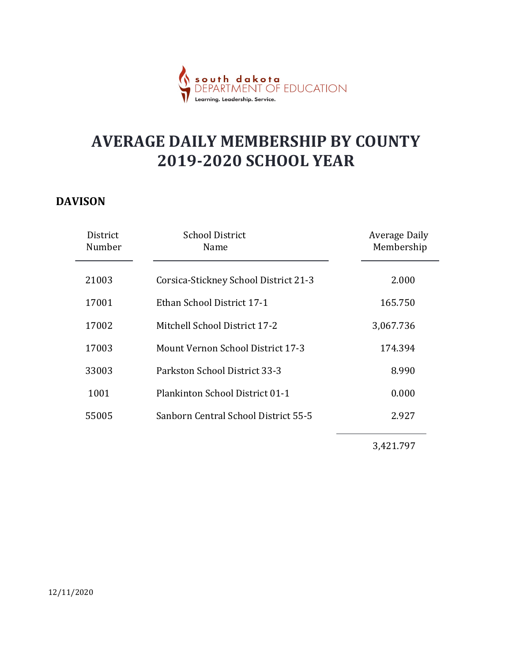

#### DAVISON

|                    | South dakota<br>DEDARTMENT OF EDUCATION<br>Learning. Leadership. Service. |                                    |  |
|--------------------|---------------------------------------------------------------------------|------------------------------------|--|
|                    | <b>AVERAGE DAILY MEMBERSHIP BY COUNTY</b><br><b>2019-2020 SCHOOL YEAR</b> |                                    |  |
| VISON              |                                                                           |                                    |  |
| District<br>Number | <b>School District</b><br>Name                                            | <b>Average Daily</b><br>Membership |  |
| 21003              | Corsica-Stickney School District 21-3                                     | 2.000                              |  |
| 17001              | Ethan School District 17-1                                                | 165.750                            |  |
| 17002              | Mitchell School District 17-2                                             | 3,067.736                          |  |
| 17003              | Mount Vernon School District 17-3                                         | 174.394                            |  |
| 33003              | Parkston School District 33-3                                             | 8.990                              |  |
| 1001               | Plankinton School District 01-1                                           | 0.000                              |  |
| 55005              | Sanborn Central School District 55-5                                      | 2.927                              |  |
|                    |                                                                           | 3,421.797                          |  |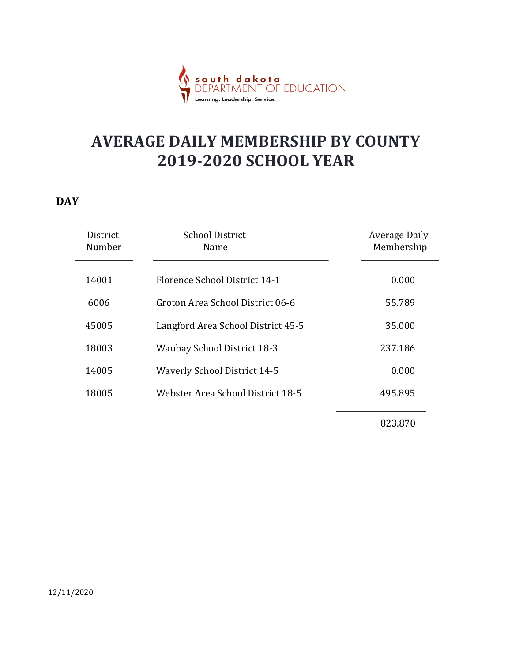

#### **DAY**

|   |                    | dakota<br>MENT OF EDUCATION         |                                                                           |  |
|---|--------------------|-------------------------------------|---------------------------------------------------------------------------|--|
|   |                    |                                     | <b>AVERAGE DAILY MEMBERSHIP BY COUNTY</b><br><b>2019-2020 SCHOOL YEAR</b> |  |
| Y |                    |                                     |                                                                           |  |
|   | District<br>Number | <b>School District</b><br>Name      | <b>Average Daily</b><br>Membership                                        |  |
|   | 14001              | Florence School District 14-1       | 0.000                                                                     |  |
|   | 6006               | Groton Area School District 06-6    | 55.789                                                                    |  |
|   | 45005              | Langford Area School District 45-5  | 35.000                                                                    |  |
|   | 18003              | <b>Waubay School District 18-3</b>  | 237.186                                                                   |  |
|   | 14005              | <b>Waverly School District 14-5</b> | 0.000                                                                     |  |
|   | 18005              | Webster Area School District 18-5   | 495.895                                                                   |  |
|   |                    |                                     | 823.870                                                                   |  |

12/11/2020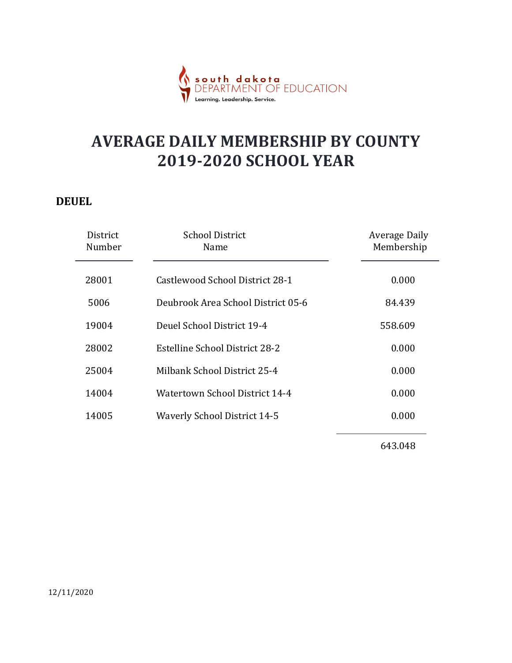

#### DEUEL

|                           | south dakota<br>DEPARTMENT OF EDUCATION<br>Learning. Leadership. Service. |                                    |
|---------------------------|---------------------------------------------------------------------------|------------------------------------|
|                           | <b>AVERAGE DAILY MEMBERSHIP BY COUNTY</b><br><b>2019-2020 SCHOOL YEAR</b> |                                    |
| UEL<br>District<br>Number | <b>School District</b><br>Name                                            | <b>Average Daily</b><br>Membership |
| 28001                     | Castlewood School District 28-1                                           | 0.000                              |
| 5006                      | Deubrook Area School District 05-6                                        | 84.439                             |
| 19004                     | Deuel School District 19-4                                                | 558.609                            |
| 28002                     | <b>Estelline School District 28-2</b>                                     | 0.000                              |
| 25004                     | Milbank School District 25-4                                              | 0.000                              |
| 14004                     | Watertown School District 14-4                                            | 0.000                              |
| 14005                     | <b>Waverly School District 14-5</b>                                       | 0.000                              |
|                           |                                                                           | 643.048                            |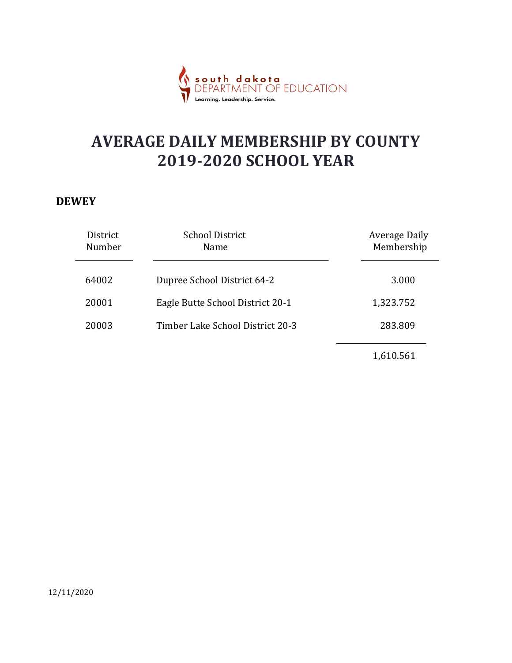

#### **DEWEY**

| dakota<br>MENT OF EDUCATION<br>.<br>Learning. Leadership. Service.        |                                    |
|---------------------------------------------------------------------------|------------------------------------|
| <b>AVERAGE DAILY MEMBERSHIP BY COUNTY</b><br><b>2019-2020 SCHOOL YEAR</b> |                                    |
|                                                                           |                                    |
| <b>School District</b><br>Name                                            | <b>Average Daily</b><br>Membership |
| Dupree School District 64-2                                               | 3.000                              |
| Eagle Butte School District 20-1                                          | 1,323.752                          |
| Timber Lake School District 20-3                                          | 283.809                            |
|                                                                           |                                    |
|                                                                           |                                    |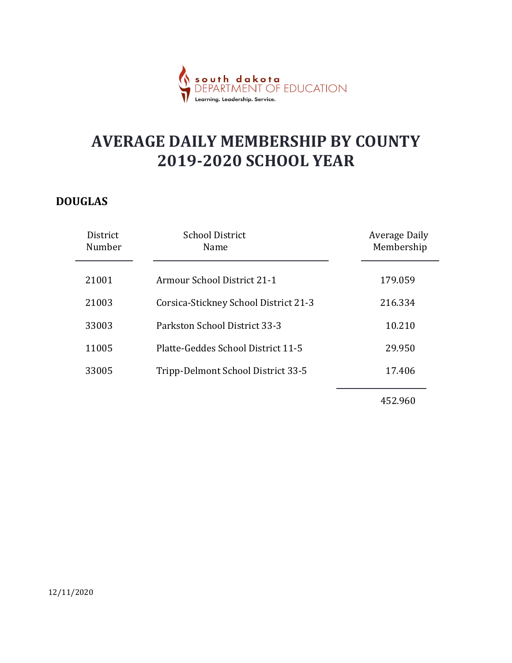

#### DOUGLAS

|                    | <mark>dakota</mark><br>MENT OF EDUCATION<br>earnina. Leadership. Service. |                                    |
|--------------------|---------------------------------------------------------------------------|------------------------------------|
|                    | <b>AVERAGE DAILY MEMBERSHIP BY COUNTY</b><br><b>2019-2020 SCHOOL YEAR</b> |                                    |
| <b>UGLAS</b>       |                                                                           |                                    |
| District<br>Number | <b>School District</b><br>Name                                            | <b>Average Daily</b><br>Membership |
| 21001              | Armour School District 21-1                                               | 179.059                            |
| 21003              | Corsica-Stickney School District 21-3                                     | 216.334                            |
| 33003              | Parkston School District 33-3                                             | 10.210                             |
| 11005              | Platte-Geddes School District 11-5                                        | 29.950                             |
| 33005              | Tripp-Delmont School District 33-5                                        | 17.406                             |
|                    |                                                                           | 452.960                            |
|                    |                                                                           |                                    |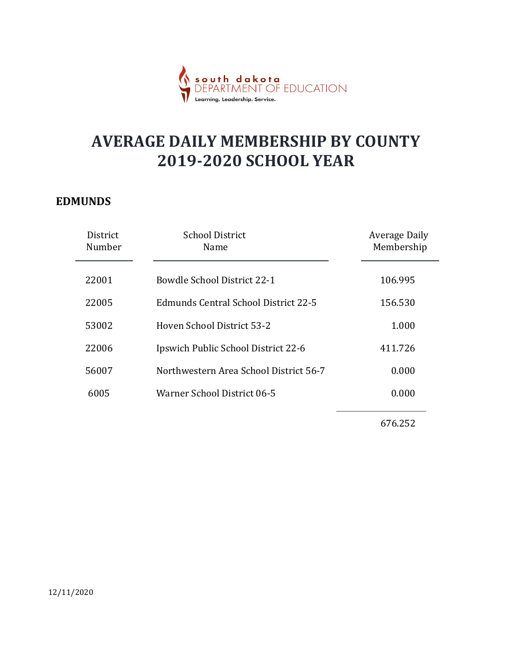

#### EDMUNDS

| <b>AVERAGE DAILY MEMBERSHIP BY COUNTY</b>            |                                    |
|------------------------------------------------------|------------------------------------|
| <b>2019-2020 SCHOOL YEAR</b>                         |                                    |
| <b>MUNDS</b>                                         |                                    |
| <b>School District</b><br>District<br>Number<br>Name | <b>Average Daily</b><br>Membership |
| 22001<br><b>Bowdle School District 22-1</b>          | 106.995                            |
| <b>Edmunds Central School District 22-5</b><br>22005 | 156.530                            |
| Hoven School District 53-2<br>53002                  | 1.000                              |
| Ipswich Public School District 22-6<br>22006         | 411.726                            |
| Northwestern Area School District 56-7<br>56007      | 0.000                              |
| Warner School District 06-5<br>6005                  | 0.000                              |
|                                                      | 676.252                            |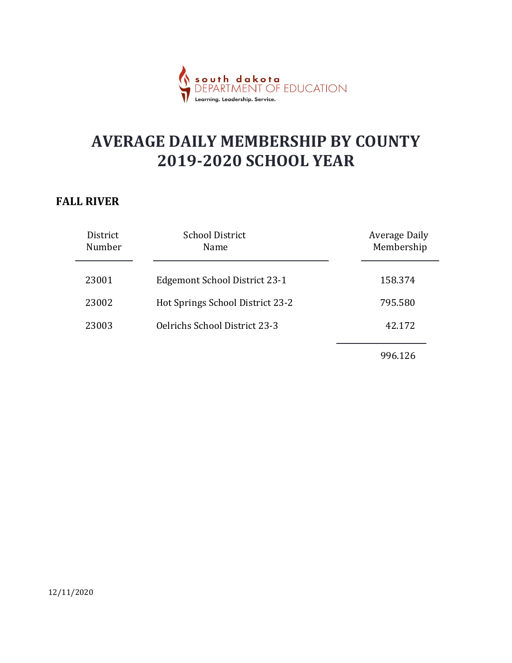

#### FALL RIVER

|                    | d a k o t a<br>VENT OF EDUCATION<br>Learning. Leadership. Service.        |                                    |
|--------------------|---------------------------------------------------------------------------|------------------------------------|
|                    | <b>AVERAGE DAILY MEMBERSHIP BY COUNTY</b><br><b>2019-2020 SCHOOL YEAR</b> |                                    |
| <b>LL RIVER</b>    |                                                                           |                                    |
| District<br>Number | <b>School District</b><br>Name                                            | <b>Average Daily</b><br>Membership |
| 23001              | <b>Edgemont School District 23-1</b>                                      | 158.374                            |
| 23002              | Hot Springs School District 23-2                                          | 795.580                            |
| 23003              | Oelrichs School District 23-3                                             | 42.172                             |
|                    |                                                                           | 996.126                            |
|                    |                                                                           |                                    |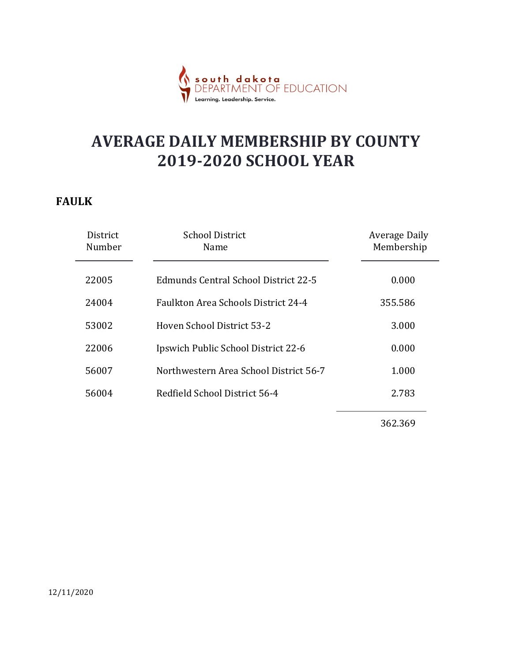

#### FAULK

|                    | <mark>dakota</mark><br>MENT OF EDUCATION                                  |                                    |
|--------------------|---------------------------------------------------------------------------|------------------------------------|
|                    | <b>AVERAGE DAILY MEMBERSHIP BY COUNTY</b><br><b>2019-2020 SCHOOL YEAR</b> |                                    |
| <b>JLK</b>         |                                                                           |                                    |
| District<br>Number | <b>School District</b><br>Name                                            | <b>Average Daily</b><br>Membership |
| 22005              | <b>Edmunds Central School District 22-5</b>                               | 0.000                              |
| 24004              | Faulkton Area Schools District 24-4                                       | 355.586                            |
| 53002              | Hoven School District 53-2                                                | 3.000                              |
| 22006              | Ipswich Public School District 22-6                                       | 0.000                              |
| 56007              | Northwestern Area School District 56-7                                    | 1.000                              |
| 56004              | Redfield School District 56-4                                             | 2.783                              |
|                    |                                                                           | 362.369                            |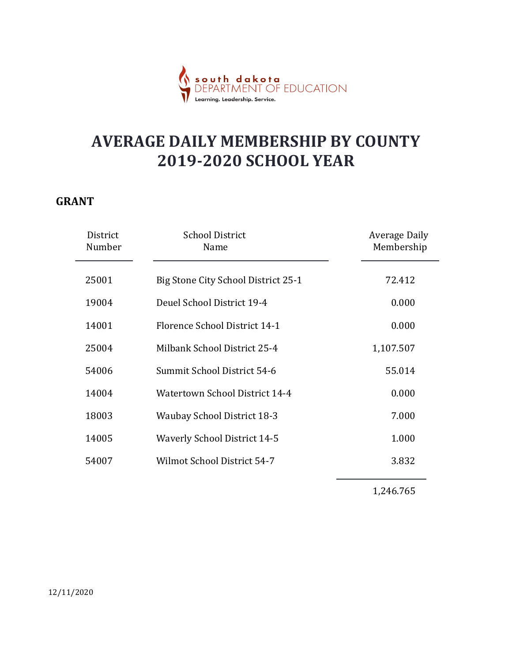

#### GRANT

|                    | <mark>dakota</mark><br>MENT OF EDUCATION<br>Learning. Leadership. Service |                                    |
|--------------------|---------------------------------------------------------------------------|------------------------------------|
|                    | <b>AVERAGE DAILY MEMBERSHIP BY COUNTY</b><br><b>2019-2020 SCHOOL YEAR</b> |                                    |
| ANT                |                                                                           |                                    |
| District<br>Number | <b>School District</b><br>Name                                            | <b>Average Daily</b><br>Membership |
| 25001              | Big Stone City School District 25-1                                       | 72.412                             |
| 19004              | Deuel School District 19-4                                                | 0.000                              |
| 14001              | Florence School District 14-1                                             | 0.000                              |
| 25004              | Milbank School District 25-4                                              | 1,107.507                          |
| 54006              | Summit School District 54-6                                               | 55.014                             |
| 14004              | <b>Watertown School District 14-4</b>                                     | 0.000                              |
| 18003              | <b>Waubay School District 18-3</b>                                        | 7.000                              |
| 14005              | <b>Waverly School District 14-5</b>                                       | 1.000                              |
| 54007              | Wilmot School District 54-7                                               | 3.832                              |
|                    |                                                                           | 1,246.765                          |
|                    |                                                                           |                                    |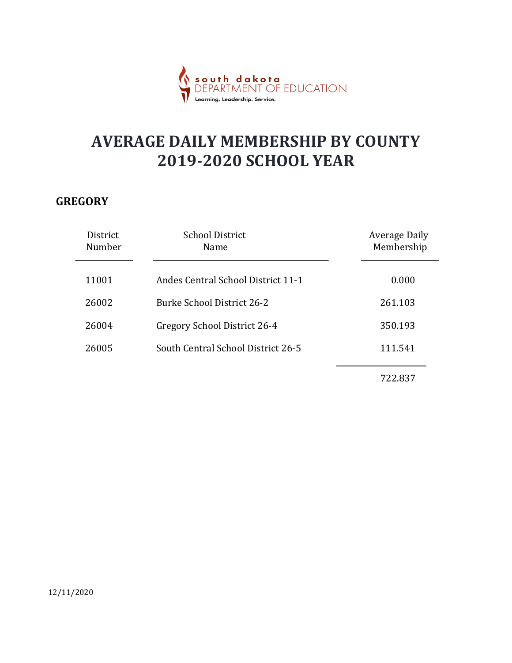

#### **GREGORY**

|                                                                           | dakota<br>MENT OF EDUCATION<br>Learning. Leadership. Service. |                      |
|---------------------------------------------------------------------------|---------------------------------------------------------------|----------------------|
| <b>AVERAGE DAILY MEMBERSHIP BY COUNTY</b><br><b>2019-2020 SCHOOL YEAR</b> |                                                               |                      |
| EGORY<br>District                                                         | <b>School District</b>                                        | <b>Average Daily</b> |
| Number                                                                    | Name                                                          | Membership           |
| 11001                                                                     | Andes Central School District 11-1                            | 0.000                |
| 26002                                                                     | <b>Burke School District 26-2</b>                             | 261.103              |
| 26004                                                                     | Gregory School District 26-4                                  | 350.193              |
|                                                                           |                                                               |                      |
| 26005                                                                     | South Central School District 26-5                            | 111.541              |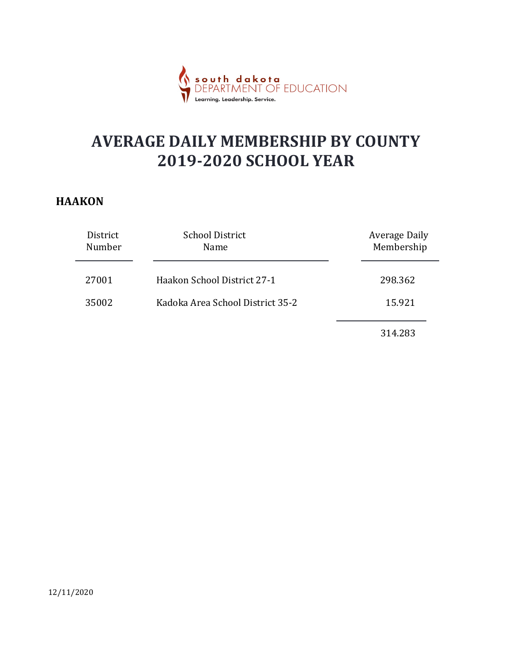

#### **HAAKON**

|                    | south dakota<br>DEPARTMENT OF EDUCATION<br>Learning. Leadership. Service. |                                    |  |
|--------------------|---------------------------------------------------------------------------|------------------------------------|--|
|                    | <b>AVERAGE DAILY MEMBERSHIP BY COUNTY</b><br><b>2019-2020 SCHOOL YEAR</b> |                                    |  |
| <b>AKON</b>        |                                                                           |                                    |  |
| District<br>Number | <b>School District</b><br>Name                                            | <b>Average Daily</b><br>Membership |  |
| 27001              | Haakon School District 27-1                                               | 298.362                            |  |
| 35002              | Kadoka Area School District 35-2                                          | 15.921                             |  |
|                    |                                                                           | 314.283                            |  |
|                    |                                                                           |                                    |  |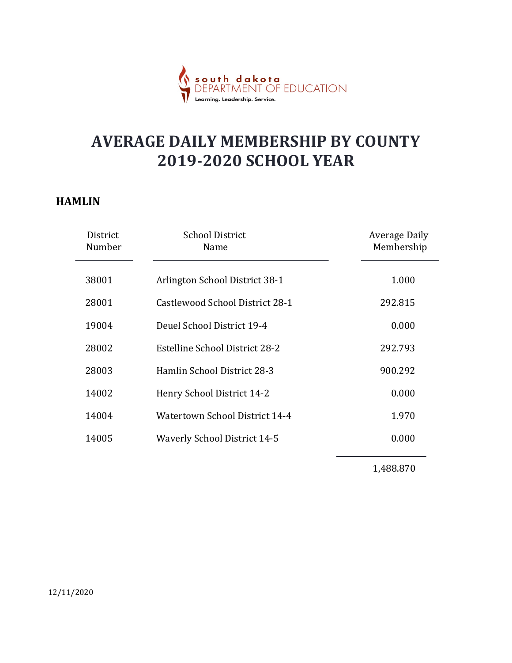

#### HAMLIN

|                    | <mark>th dakota</mark><br>ARTMENT OF EDUCATION                            |                                    |
|--------------------|---------------------------------------------------------------------------|------------------------------------|
|                    | <b>AVERAGE DAILY MEMBERSHIP BY COUNTY</b><br><b>2019-2020 SCHOOL YEAR</b> |                                    |
| MLIN               |                                                                           |                                    |
| District<br>Number | <b>School District</b><br>Name                                            | <b>Average Daily</b><br>Membership |
| 38001              | Arlington School District 38-1                                            | 1.000                              |
| 28001              | Castlewood School District 28-1                                           | 292.815                            |
| 19004              | Deuel School District 19-4                                                | 0.000                              |
| 28002              | <b>Estelline School District 28-2</b>                                     | 292.793                            |
| 28003              | Hamlin School District 28-3                                               | 900.292                            |
| 14002              | Henry School District 14-2                                                | 0.000                              |
| 14004              | <b>Watertown School District 14-4</b>                                     | 1.970                              |
| 14005              | <b>Waverly School District 14-5</b>                                       | 0.000                              |
|                    |                                                                           | 1,488.870                          |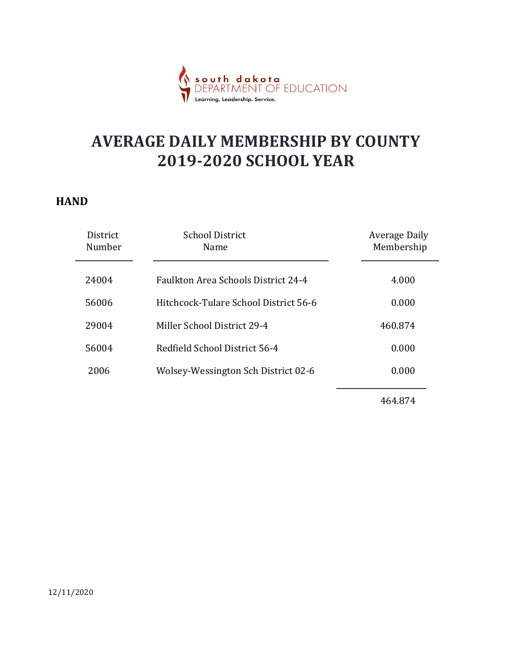

#### **HAND**

|                    | <mark>dakota</mark><br>MENT OF EDUCATION<br>Leadership. Service           |                                    |
|--------------------|---------------------------------------------------------------------------|------------------------------------|
|                    | <b>AVERAGE DAILY MEMBERSHIP BY COUNTY</b><br><b>2019-2020 SCHOOL YEAR</b> |                                    |
| <b>ND</b>          |                                                                           |                                    |
| District<br>Number | <b>School District</b><br>Name                                            | <b>Average Daily</b><br>Membership |
| 24004              | Faulkton Area Schools District 24-4                                       | 4.000                              |
| 56006              | Hitchcock-Tulare School District 56-6                                     | 0.000                              |
| 29004              | Miller School District 29-4                                               | 460.874                            |
| 56004              | Redfield School District 56-4                                             | 0.000                              |
| 2006               | Wolsey-Wessington Sch District 02-6                                       | 0.000                              |
|                    |                                                                           | 464.874                            |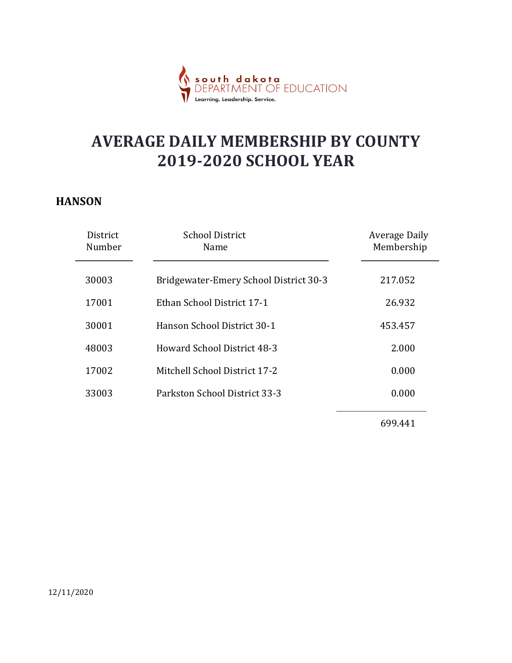

#### **HANSON**

|                    | dakota<br>MENT OF EDUCATION                                               |                                    |
|--------------------|---------------------------------------------------------------------------|------------------------------------|
|                    | <b>AVERAGE DAILY MEMBERSHIP BY COUNTY</b><br><b>2019-2020 SCHOOL YEAR</b> |                                    |
| <b>NSON</b>        |                                                                           |                                    |
| District<br>Number | <b>School District</b><br>Name                                            | <b>Average Daily</b><br>Membership |
| 30003              | Bridgewater-Emery School District 30-3                                    | 217.052                            |
| 17001              | Ethan School District 17-1                                                | 26.932                             |
| 30001              | Hanson School District 30-1                                               | 453.457                            |
| 48003              | <b>Howard School District 48-3</b>                                        | 2.000                              |
| 17002              | Mitchell School District 17-2                                             | 0.000                              |
| 33003              | Parkston School District 33-3                                             | 0.000                              |
|                    |                                                                           | 699.441                            |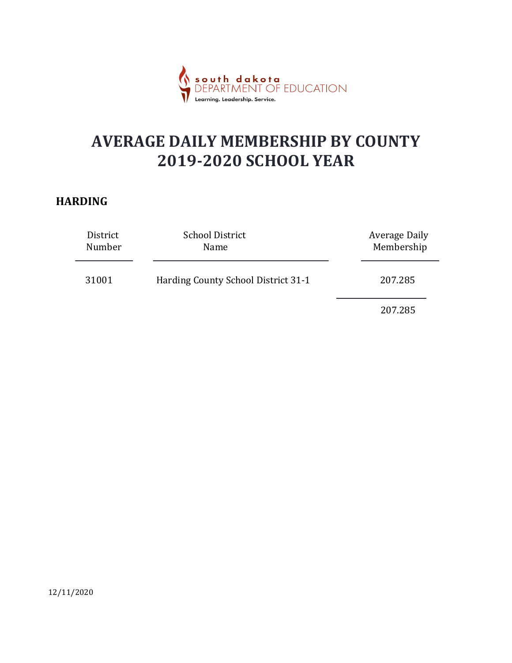

#### HARDING

|                    | south dakota<br>DFPARTMENT OF EDUCATION<br>Learning. Leadership. Service. |                                    |  |
|--------------------|---------------------------------------------------------------------------|------------------------------------|--|
|                    | <b>AVERAGE DAILY MEMBERSHIP BY COUNTY</b><br><b>2019-2020 SCHOOL YEAR</b> |                                    |  |
| RDING              |                                                                           |                                    |  |
| District<br>Number | <b>School District</b><br>Name                                            | <b>Average Daily</b><br>Membership |  |
| 31001              | Harding County School District 31-1                                       | 207.285                            |  |
|                    |                                                                           | 207.285                            |  |
|                    |                                                                           |                                    |  |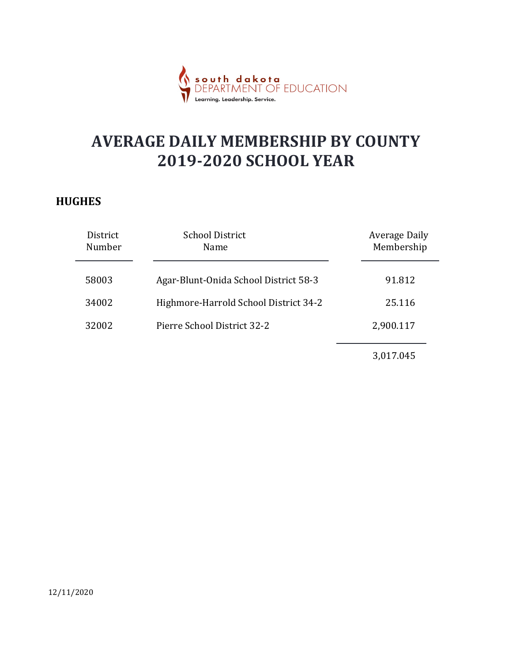

#### **HUGHES**

|                    | <b>dakota</b><br>MENT OF EDUCATION<br>Learning. Leadership. Service.      |                                    |
|--------------------|---------------------------------------------------------------------------|------------------------------------|
|                    | <b>AVERAGE DAILY MEMBERSHIP BY COUNTY</b><br><b>2019-2020 SCHOOL YEAR</b> |                                    |
| <b>GHES</b>        |                                                                           |                                    |
| District<br>Number | <b>School District</b><br>Name                                            | <b>Average Daily</b><br>Membership |
| 58003              | Agar-Blunt-Onida School District 58-3                                     | 91.812                             |
| 34002              | Highmore-Harrold School District 34-2                                     | 25.116                             |
| 32002              | Pierre School District 32-2                                               | 2,900.117                          |
|                    |                                                                           | 3,017.045                          |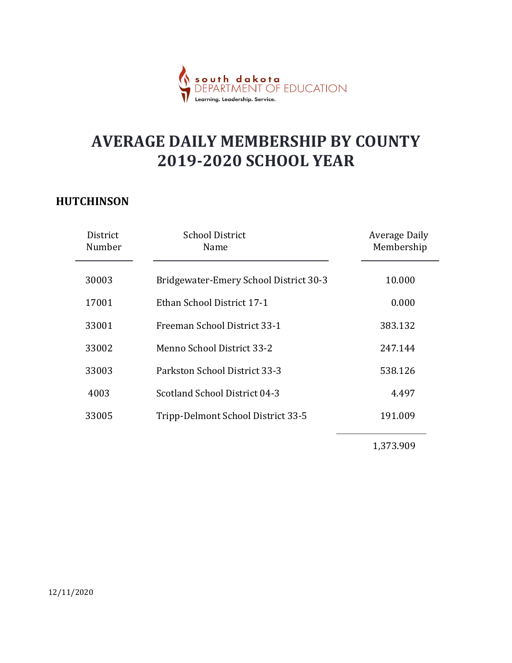

#### **HUTCHINSON**

|                    | south dakota<br>DEPARTMENT OF EDUCATION<br>Learning. Leadership. Service. |                                    |
|--------------------|---------------------------------------------------------------------------|------------------------------------|
|                    | <b>AVERAGE DAILY MEMBERSHIP BY COUNTY</b><br><b>2019-2020 SCHOOL YEAR</b> |                                    |
| TCHINSON           |                                                                           |                                    |
| District<br>Number | <b>School District</b><br>Name                                            | <b>Average Daily</b><br>Membership |
| 30003              | Bridgewater-Emery School District 30-3                                    | 10.000                             |
| 17001              | Ethan School District 17-1                                                | 0.000                              |
| 33001              | Freeman School District 33-1                                              | 383.132                            |
| 33002              | Menno School District 33-2                                                | 247.144                            |
| 33003              | Parkston School District 33-3                                             | 538.126                            |
| 4003               | <b>Scotland School District 04-3</b>                                      | 4.497                              |
| 33005              | Tripp-Delmont School District 33-5                                        | 191.009                            |
|                    |                                                                           | 1,373.909                          |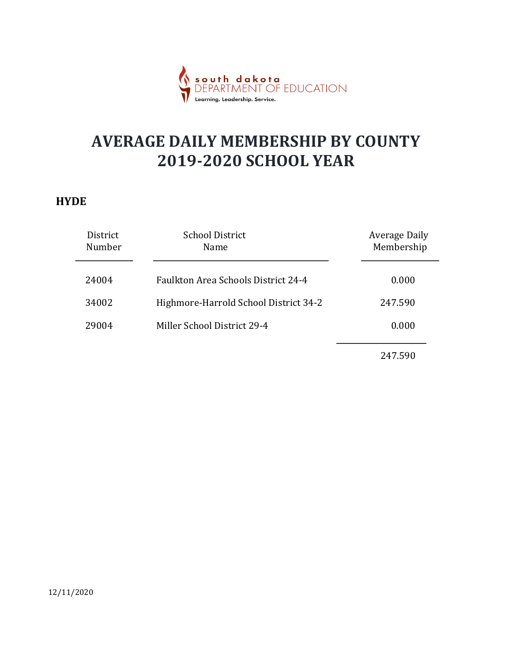

#### **HYDE**

|                    | dakota<br>MENT OF EDUCATION<br>.<br>Learning. Leadership. Service.        |                                    |  |
|--------------------|---------------------------------------------------------------------------|------------------------------------|--|
|                    | <b>AVERAGE DAILY MEMBERSHIP BY COUNTY</b><br><b>2019-2020 SCHOOL YEAR</b> |                                    |  |
| DE                 |                                                                           |                                    |  |
| District<br>Number | <b>School District</b><br>Name                                            | <b>Average Daily</b><br>Membership |  |
| 24004              | Faulkton Area Schools District 24-4                                       | 0.000                              |  |
| 34002              | Highmore-Harrold School District 34-2                                     | 247.590                            |  |
| 29004              | Miller School District 29-4                                               | 0.000                              |  |
|                    |                                                                           | 247.590                            |  |
|                    |                                                                           |                                    |  |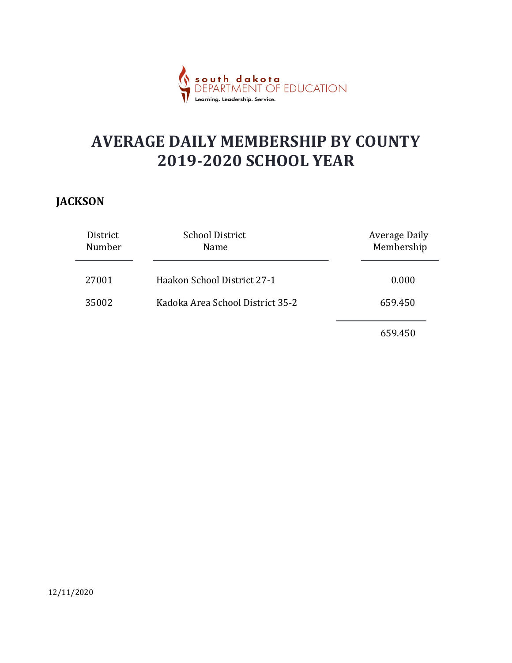

#### JACKSON

|                    | p <b>uth dakota</b><br>EPARTMENT OF EDUCATION<br>$S$ O<br>Learning. Leadership. Service. |                                    |  |
|--------------------|------------------------------------------------------------------------------------------|------------------------------------|--|
|                    | <b>AVERAGE DAILY MEMBERSHIP BY COUNTY</b><br><b>2019-2020 SCHOOL YEAR</b>                |                                    |  |
| <b>KSON</b>        |                                                                                          |                                    |  |
| District<br>Number | <b>School District</b><br>Name                                                           | <b>Average Daily</b><br>Membership |  |
| 27001              | Haakon School District 27-1                                                              | 0.000                              |  |
| 35002              | Kadoka Area School District 35-2                                                         | 659.450                            |  |
|                    |                                                                                          | 659.450                            |  |
|                    |                                                                                          |                                    |  |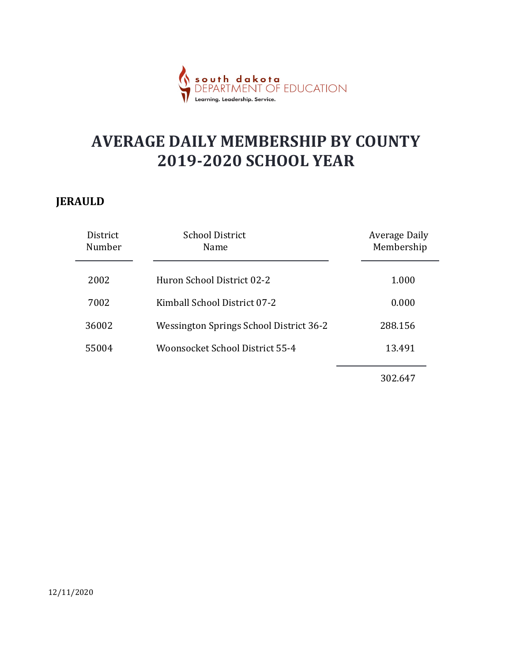

#### JERAULD

|                    | d <mark>akota</mark><br>MENT OF EDUCATION<br>Learning. Leadership. Service. |                                    |
|--------------------|-----------------------------------------------------------------------------|------------------------------------|
|                    | <b>AVERAGE DAILY MEMBERSHIP BY COUNTY</b><br><b>2019-2020 SCHOOL YEAR</b>   |                                    |
| <b>AULD</b>        |                                                                             |                                    |
| District<br>Number | <b>School District</b><br>Name                                              | <b>Average Daily</b><br>Membership |
| 2002               | Huron School District 02-2                                                  | 1.000                              |
| 7002               | Kimball School District 07-2                                                | 0.000                              |
| 36002              | Wessington Springs School District 36-2                                     | 288.156                            |
| 55004              | Woonsocket School District 55-4                                             | 13.491                             |
|                    |                                                                             |                                    |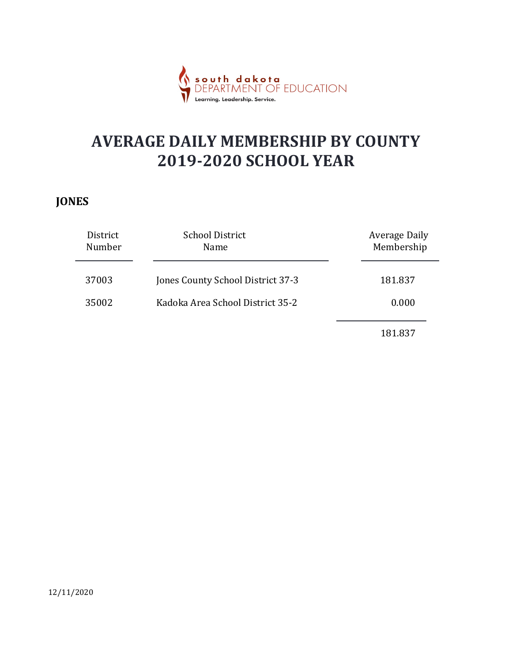

#### JONES

|                    | u <mark>th dakota</mark><br>PARTMENT OF EDUCATION<br>Learning. Leadership. Service. |                                    |  |
|--------------------|-------------------------------------------------------------------------------------|------------------------------------|--|
|                    | <b>AVERAGE DAILY MEMBERSHIP BY COUNTY</b><br><b>2019-2020 SCHOOL YEAR</b>           |                                    |  |
| <b>IES</b>         |                                                                                     |                                    |  |
| District<br>Number | <b>School District</b><br>Name                                                      | <b>Average Daily</b><br>Membership |  |
| 37003              | Jones County School District 37-3                                                   | 181.837                            |  |
| 35002              | Kadoka Area School District 35-2                                                    | 0.000                              |  |
|                    |                                                                                     | 181.837                            |  |
|                    |                                                                                     |                                    |  |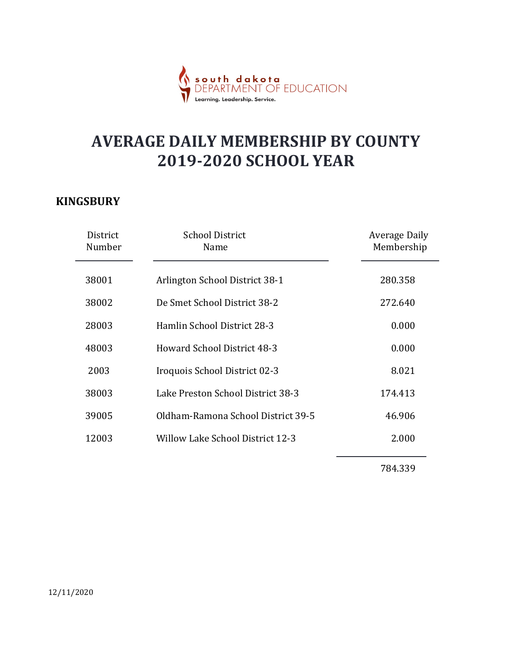

#### **KINGSBURY**

|                    | <mark>th dakota</mark><br>ARTMENT OF EDUCATION                            |                                    |
|--------------------|---------------------------------------------------------------------------|------------------------------------|
|                    | <b>AVERAGE DAILY MEMBERSHIP BY COUNTY</b><br><b>2019-2020 SCHOOL YEAR</b> |                                    |
| <b>IGSBURY</b>     |                                                                           |                                    |
| District<br>Number | <b>School District</b><br>Name                                            | <b>Average Daily</b><br>Membership |
| 38001              | Arlington School District 38-1                                            | 280.358                            |
| 38002              | De Smet School District 38-2                                              | 272.640                            |
| 28003              | Hamlin School District 28-3                                               | 0.000                              |
| 48003              | <b>Howard School District 48-3</b>                                        | 0.000                              |
| 2003               | Iroquois School District 02-3                                             | 8.021                              |
| 38003              | Lake Preston School District 38-3                                         | 174.413                            |
| 39005              | Oldham-Ramona School District 39-5                                        | 46.906                             |
| 12003              | <b>Willow Lake School District 12-3</b>                                   | 2.000                              |
|                    |                                                                           | 784.339                            |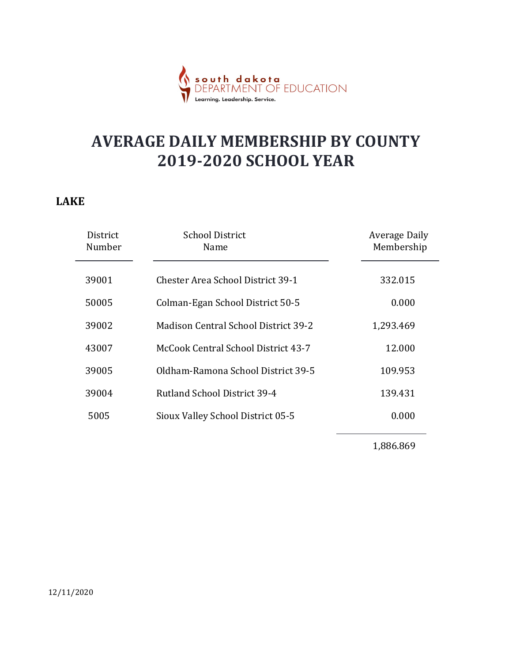

#### LAKE

|                    | south dakota<br>DEPARTMENT OF EDUCATION<br>Learning. Leadership. Service  |                                    |  |
|--------------------|---------------------------------------------------------------------------|------------------------------------|--|
| ζE                 | <b>AVERAGE DAILY MEMBERSHIP BY COUNTY</b><br><b>2019-2020 SCHOOL YEAR</b> |                                    |  |
| District<br>Number | <b>School District</b><br>Name                                            | <b>Average Daily</b><br>Membership |  |
| 39001              | <b>Chester Area School District 39-1</b>                                  | 332.015                            |  |
| 50005              | Colman-Egan School District 50-5                                          | 0.000                              |  |
| 39002              | Madison Central School District 39-2                                      | 1,293.469                          |  |
| 43007              | McCook Central School District 43-7                                       | 12.000                             |  |
| 39005              | Oldham-Ramona School District 39-5                                        | 109.953                            |  |
| 39004              | Rutland School District 39-4                                              | 139.431                            |  |
| 5005               | Sioux Valley School District 05-5                                         | 0.000                              |  |
|                    |                                                                           | 1,886.869                          |  |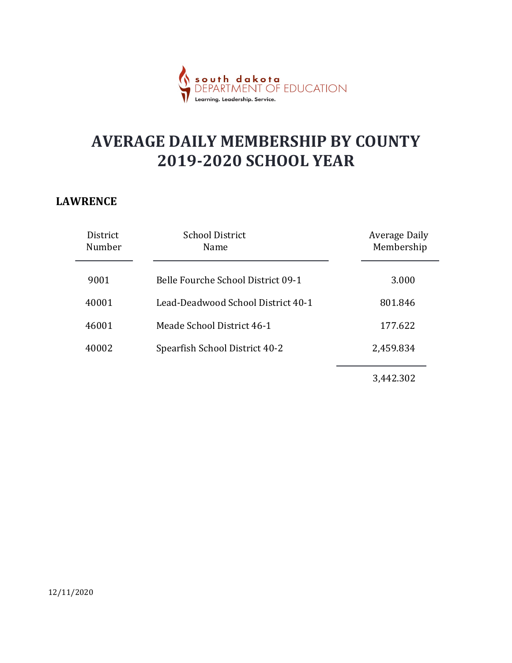

#### LAWRENCE

|                    | dakota<br>MENT OF EDUCATION<br>Learning. Leadership. Service.             |                                    |
|--------------------|---------------------------------------------------------------------------|------------------------------------|
|                    | <b>AVERAGE DAILY MEMBERSHIP BY COUNTY</b><br><b>2019-2020 SCHOOL YEAR</b> |                                    |
| <b>NRENCE</b>      |                                                                           |                                    |
| District<br>Number | <b>School District</b><br>Name                                            | <b>Average Daily</b><br>Membership |
| 9001               | Belle Fourche School District 09-1                                        | 3.000                              |
| 40001              | Lead-Deadwood School District 40-1                                        | 801.846                            |
| 46001              | Meade School District 46-1                                                | 177.622                            |
| 40002              | Spearfish School District 40-2                                            | 2,459.834                          |
|                    |                                                                           |                                    |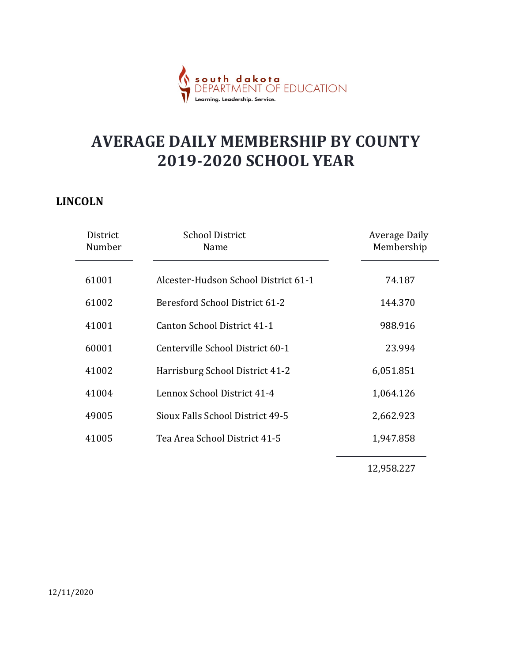

#### LINCOLN

|                    | <mark>th dakota</mark><br>ARTMENT OF EDUCATION<br>Learnina, Leadership, Service |                                    |
|--------------------|---------------------------------------------------------------------------------|------------------------------------|
|                    | <b>AVERAGE DAILY MEMBERSHIP BY COUNTY</b><br><b>2019-2020 SCHOOL YEAR</b>       |                                    |
| <b>COLN</b>        |                                                                                 |                                    |
| District<br>Number | <b>School District</b><br>Name                                                  | <b>Average Daily</b><br>Membership |
| 61001              | Alcester-Hudson School District 61-1                                            | 74.187                             |
| 61002              | Beresford School District 61-2                                                  | 144.370                            |
| 41001              | Canton School District 41-1                                                     | 988.916                            |
| 60001              | Centerville School District 60-1                                                | 23.994                             |
| 41002              | Harrisburg School District 41-2                                                 | 6,051.851                          |
| 41004              | Lennox School District 41-4                                                     | 1,064.126                          |
| 49005              | Sioux Falls School District 49-5                                                | 2,662.923                          |
| 41005              | Tea Area School District 41-5                                                   | 1,947.858                          |
|                    |                                                                                 | 12,958.227                         |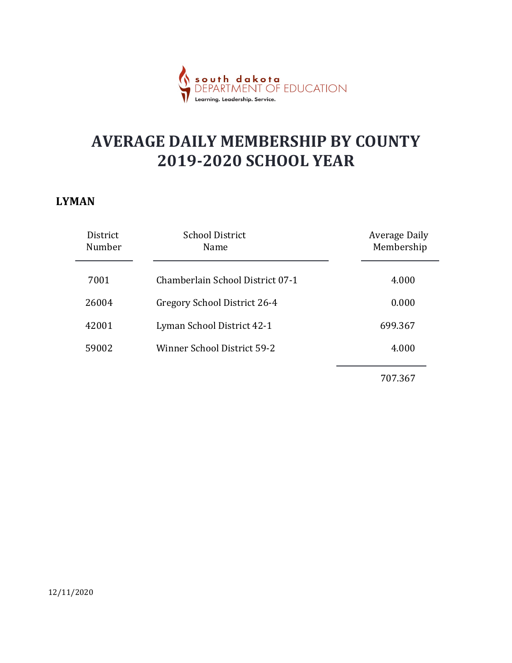

#### LYMAN

|                                                                           | dakota<br>MENT OF EDUCATION<br>Learning. Leadership. Service. |                                    |
|---------------------------------------------------------------------------|---------------------------------------------------------------|------------------------------------|
| <b>AVERAGE DAILY MEMBERSHIP BY COUNTY</b><br><b>2019-2020 SCHOOL YEAR</b> |                                                               |                                    |
| ИAN                                                                       |                                                               |                                    |
| District<br>Number                                                        | <b>School District</b><br>Name                                | <b>Average Daily</b><br>Membership |
| 7001                                                                      | Chamberlain School District 07-1                              | 4.000                              |
| 26004                                                                     | Gregory School District 26-4                                  | 0.000                              |
| 42001                                                                     | Lyman School District 42-1                                    | 699.367                            |
| 59002                                                                     | Winner School District 59-2                                   | 4.000                              |
|                                                                           |                                                               |                                    |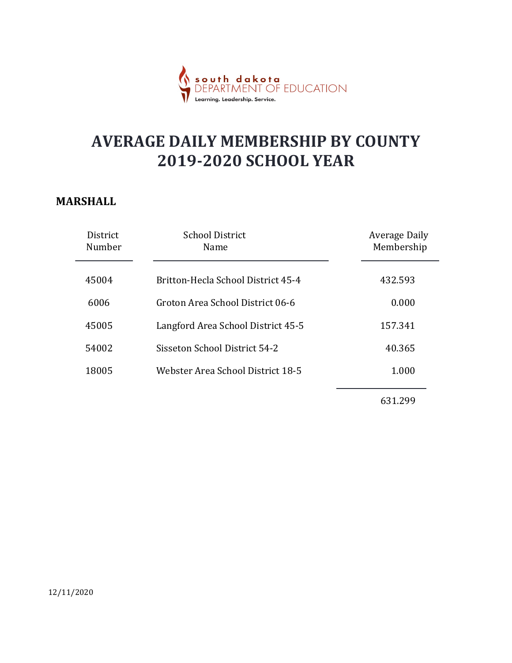

#### MARSHALL

|                    | a <mark>k o t a</mark><br>FNT OF EDUCATION<br>Learnina. Leadership. Service |                                    |
|--------------------|-----------------------------------------------------------------------------|------------------------------------|
|                    | <b>AVERAGE DAILY MEMBERSHIP BY COUNTY</b><br><b>2019-2020 SCHOOL YEAR</b>   |                                    |
| <b>RSHALL</b>      |                                                                             |                                    |
| District<br>Number | <b>School District</b><br>Name                                              | <b>Average Daily</b><br>Membership |
| 45004              | Britton-Hecla School District 45-4                                          | 432.593                            |
| 6006               | Groton Area School District 06-6                                            | 0.000                              |
| 45005              | Langford Area School District 45-5                                          | 157.341                            |
| 54002              | Sisseton School District 54-2                                               | 40.365                             |
| 18005              | Webster Area School District 18-5                                           | 1.000                              |
|                    |                                                                             | 631.299                            |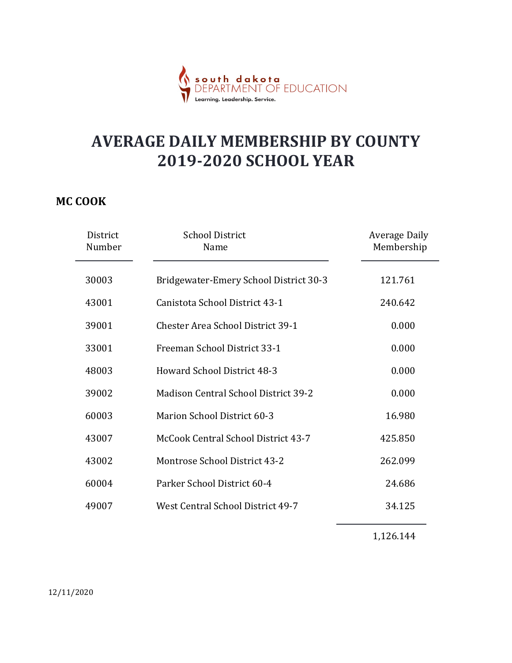

#### MC COOK

|                    | <mark>dakota</mark><br>MENT OF EDUCATION                                  |                                    |
|--------------------|---------------------------------------------------------------------------|------------------------------------|
|                    | <b>AVERAGE DAILY MEMBERSHIP BY COUNTY</b><br><b>2019-2020 SCHOOL YEAR</b> |                                    |
| <b>COOK</b>        |                                                                           |                                    |
| District<br>Number | <b>School District</b><br>Name                                            | <b>Average Daily</b><br>Membership |
| 30003              | Bridgewater-Emery School District 30-3                                    | 121.761                            |
| 43001              | Canistota School District 43-1                                            | 240.642                            |
| 39001              | Chester Area School District 39-1                                         | 0.000                              |
| 33001              | Freeman School District 33-1                                              | 0.000                              |
| 48003              | Howard School District 48-3                                               | 0.000                              |
| 39002              | Madison Central School District 39-2                                      | 0.000                              |
| 60003              | Marion School District 60-3                                               | 16.980                             |
| 43007              | McCook Central School District 43-7                                       | 425.850                            |
| 43002              | Montrose School District 43-2                                             | 262.099                            |
| 60004              | Parker School District 60-4                                               | 24.686                             |
| 49007              | West Central School District 49-7                                         | 34.125                             |
|                    |                                                                           | 1,126.144                          |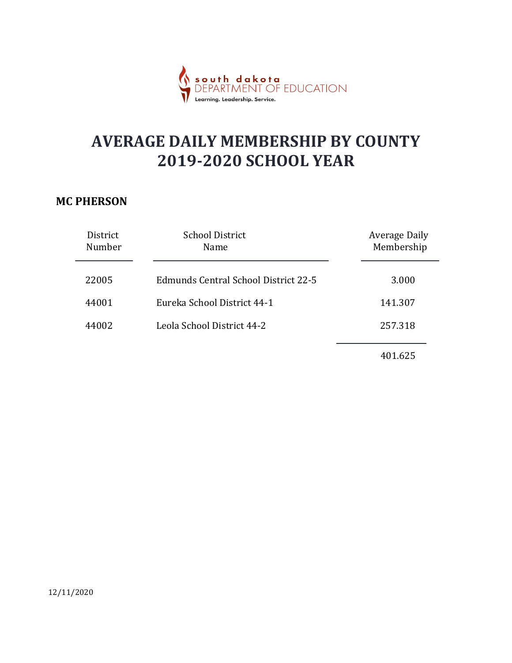

#### MC PHERSON

|                    | dakota<br>MENT OF EDUCATION<br>.<br>Learning. Leadership. Service.        |                                    |  |
|--------------------|---------------------------------------------------------------------------|------------------------------------|--|
|                    | <b>AVERAGE DAILY MEMBERSHIP BY COUNTY</b><br><b>2019-2020 SCHOOL YEAR</b> |                                    |  |
| <b>PHERSON</b>     |                                                                           |                                    |  |
| District<br>Number | <b>School District</b><br>Name                                            | <b>Average Daily</b><br>Membership |  |
| 22005              | <b>Edmunds Central School District 22-5</b>                               | 3.000                              |  |
| 44001              | Eureka School District 44-1                                               | 141.307                            |  |
| 44002              | Leola School District 44-2                                                | 257.318                            |  |
|                    |                                                                           | 401.625                            |  |
|                    |                                                                           |                                    |  |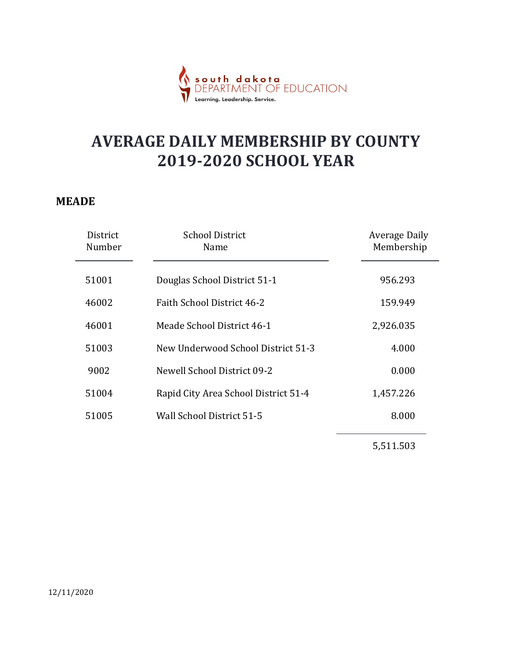

#### MEADE

|                           | South dakota<br>DEDAPTMENT OF EDUCATION<br>Learning. Leadership. Service  |                                    |  |
|---------------------------|---------------------------------------------------------------------------|------------------------------------|--|
|                           | <b>AVERAGE DAILY MEMBERSHIP BY COUNTY</b><br><b>2019-2020 SCHOOL YEAR</b> |                                    |  |
| ADE<br>District<br>Number | <b>School District</b><br>Name                                            | <b>Average Daily</b><br>Membership |  |
| 51001                     | Douglas School District 51-1                                              | 956.293                            |  |
| 46002                     | Faith School District 46-2                                                | 159.949                            |  |
| 46001                     | Meade School District 46-1                                                | 2,926.035                          |  |
| 51003                     | New Underwood School District 51-3                                        | 4.000                              |  |
| 9002                      | <b>Newell School District 09-2</b>                                        | 0.000                              |  |
| 51004                     | Rapid City Area School District 51-4                                      | 1,457.226                          |  |
| 51005                     | Wall School District 51-5                                                 | 8.000                              |  |
|                           |                                                                           | 5,511.503                          |  |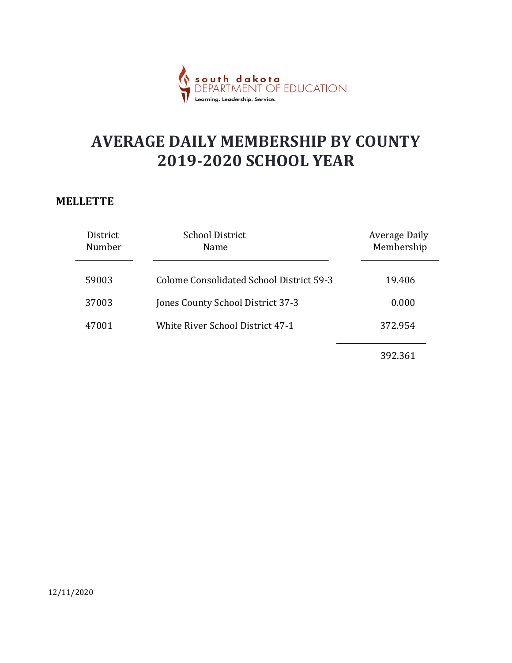

#### **MELLETTE**

|                    | dakota<br>MENT OF EDUCATION<br>.<br>Learning. Leadership. Service.        |                                    |  |
|--------------------|---------------------------------------------------------------------------|------------------------------------|--|
|                    | <b>AVERAGE DAILY MEMBERSHIP BY COUNTY</b><br><b>2019-2020 SCHOOL YEAR</b> |                                    |  |
| LETTE              |                                                                           |                                    |  |
| District<br>Number | <b>School District</b><br>Name                                            | <b>Average Daily</b><br>Membership |  |
| 59003              | <b>Colome Consolidated School District 59-3</b>                           | 19.406                             |  |
| 37003              | Jones County School District 37-3                                         | 0.000                              |  |
| 47001              | White River School District 47-1                                          | 372.954                            |  |
|                    |                                                                           | 392.361                            |  |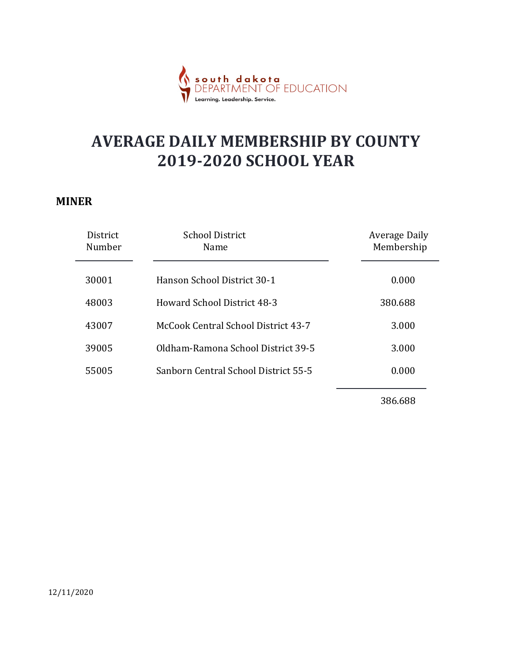

#### MINER

|                    | <mark>dakota</mark><br>MENT OF EDUCATION<br>Leadershin.                   |                                    |
|--------------------|---------------------------------------------------------------------------|------------------------------------|
|                    | <b>AVERAGE DAILY MEMBERSHIP BY COUNTY</b><br><b>2019-2020 SCHOOL YEAR</b> |                                    |
| VER                |                                                                           |                                    |
| District<br>Number | <b>School District</b><br>Name                                            | <b>Average Daily</b><br>Membership |
| 30001              | Hanson School District 30-1                                               | 0.000                              |
| 48003              | Howard School District 48-3                                               | 380.688                            |
| 43007              | McCook Central School District 43-7                                       | 3.000                              |
| 39005              | Oldham-Ramona School District 39-5                                        | 3.000                              |
| 55005              | Sanborn Central School District 55-5                                      | 0.000                              |
|                    |                                                                           | 386.688                            |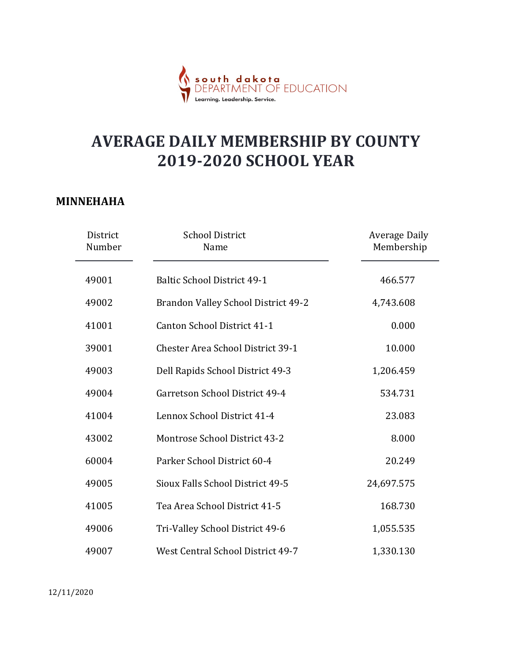

#### MINNEHAHA

|                    | <mark>dakota</mark><br>MENT OF EDUCATION<br>Learning. Leadership. Service. |                             |
|--------------------|----------------------------------------------------------------------------|-----------------------------|
|                    | <b>AVERAGE DAILY MEMBERSHIP BY COUNTY</b><br><b>2019-2020 SCHOOL YEAR</b>  |                             |
| INEHAHA            |                                                                            |                             |
| District<br>Number | <b>School District</b><br>Name                                             | Average Daily<br>Membership |
| 49001              | <b>Baltic School District 49-1</b>                                         | 466.577                     |
| 49002              | Brandon Valley School District 49-2                                        | 4,743.608                   |
| 41001              | Canton School District 41-1                                                | 0.000                       |
| 39001              | <b>Chester Area School District 39-1</b>                                   | 10.000                      |
| 49003              | Dell Rapids School District 49-3                                           | 1,206.459                   |
| 49004              | Garretson School District 49-4                                             | 534.731                     |
| 41004              | Lennox School District 41-4                                                | 23.083                      |
| 43002              | Montrose School District 43-2                                              | 8.000                       |
| 60004              | Parker School District 60-4                                                | 20.249                      |
| 49005              | Sioux Falls School District 49-5                                           | 24,697.575                  |
| 41005              | Tea Area School District 41-5                                              | 168.730                     |
| 49006              | Tri-Valley School District 49-6                                            | 1,055.535                   |
|                    | West Central School District 49-7                                          | 1,330.130                   |

12/11/2020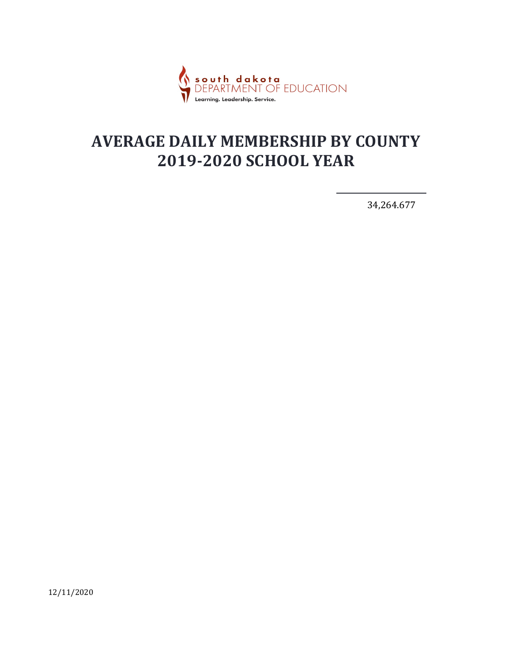

34,264.677

12/11/2020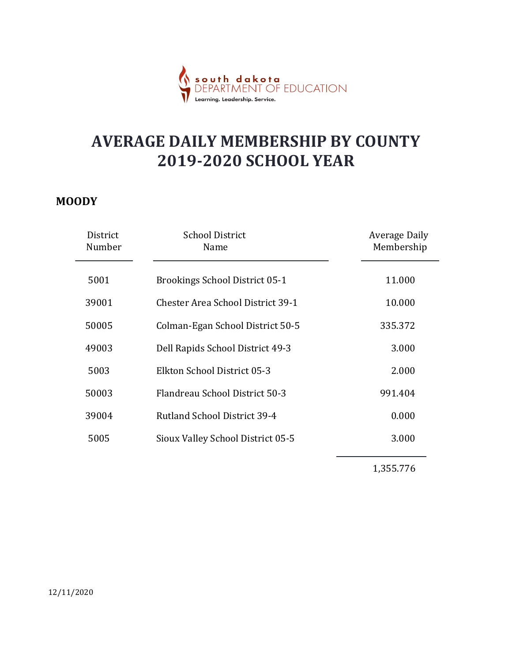

#### MOODY

|                    | : <mark>h dakota</mark><br>RTMENT OF EDUCATION                            |                                    |
|--------------------|---------------------------------------------------------------------------|------------------------------------|
|                    | <b>AVERAGE DAILY MEMBERSHIP BY COUNTY</b><br><b>2019-2020 SCHOOL YEAR</b> |                                    |
| <b>ODY</b>         |                                                                           |                                    |
| District<br>Number | <b>School District</b><br>Name                                            | <b>Average Daily</b><br>Membership |
| 5001               | <b>Brookings School District 05-1</b>                                     | 11.000                             |
| 39001              | <b>Chester Area School District 39-1</b>                                  | 10.000                             |
| 50005              | Colman-Egan School District 50-5                                          | 335.372                            |
| 49003              | Dell Rapids School District 49-3                                          | 3.000                              |
| 5003               | Elkton School District 05-3                                               | 2.000                              |
| 50003              | Flandreau School District 50-3                                            | 991.404                            |
| 39004              | Rutland School District 39-4                                              | 0.000                              |
| 5005               | Sioux Valley School District 05-5                                         | 3.000                              |
|                    |                                                                           | 1,355.776                          |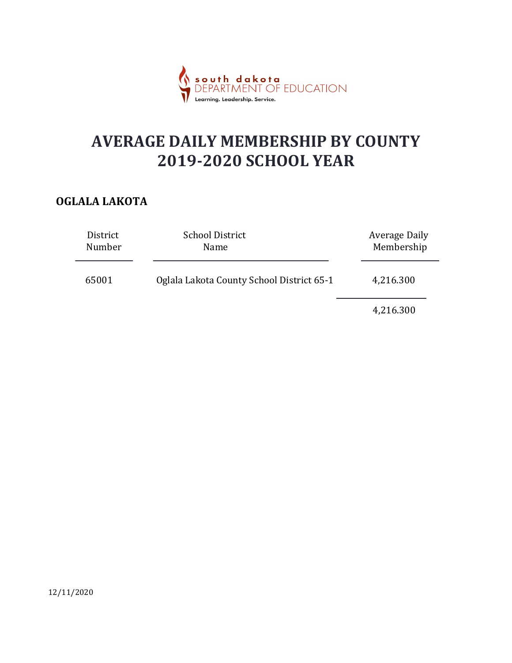

#### OGLALA LAKOTA

|                    | south dakota<br>DFPARTMENT OF EDUCATION<br>Learning. Leadership. Service. |                                    |  |
|--------------------|---------------------------------------------------------------------------|------------------------------------|--|
|                    | <b>AVERAGE DAILY MEMBERSHIP BY COUNTY</b><br><b>2019-2020 SCHOOL YEAR</b> |                                    |  |
| <b>LALA LAKOTA</b> |                                                                           |                                    |  |
| District<br>Number | <b>School District</b><br>Name                                            | <b>Average Daily</b><br>Membership |  |
| 65001              | Oglala Lakota County School District 65-1                                 | 4,216.300                          |  |
|                    |                                                                           | 4,216.300                          |  |
|                    |                                                                           |                                    |  |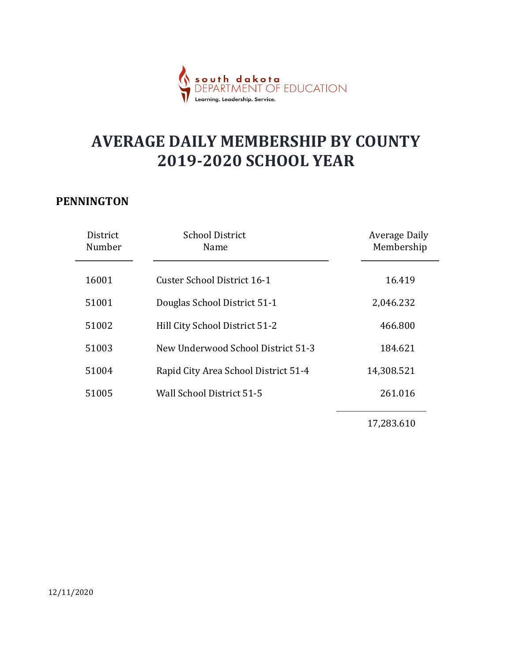

#### PENNINGTON

|                    | <mark>dakota</mark><br>MENT OF EDUCATION<br><b>SOU</b> 1<br>Learning. Leadership. Service. |                                    |
|--------------------|--------------------------------------------------------------------------------------------|------------------------------------|
|                    | <b>AVERAGE DAILY MEMBERSHIP BY COUNTY</b><br><b>2019-2020 SCHOOL YEAR</b>                  |                                    |
| <b>NINGTON</b>     |                                                                                            |                                    |
| District<br>Number | <b>School District</b><br>Name                                                             | <b>Average Daily</b><br>Membership |
| 16001              | <b>Custer School District 16-1</b>                                                         | 16.419                             |
| 51001              | Douglas School District 51-1                                                               | 2,046.232                          |
| 51002              | Hill City School District 51-2                                                             | 466.800                            |
| 51003              | New Underwood School District 51-3                                                         | 184.621                            |
| 51004              | Rapid City Area School District 51-4                                                       | 14,308.521                         |
| 51005              | Wall School District 51-5                                                                  | 261.016                            |
|                    |                                                                                            | 17,283.610                         |
|                    |                                                                                            |                                    |

12/11/2020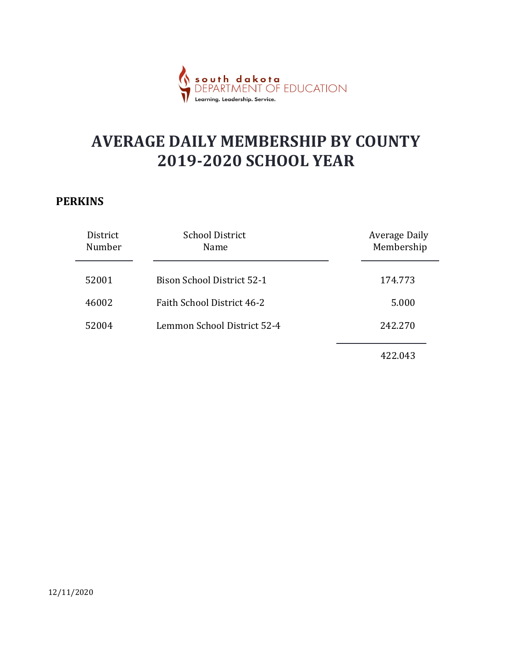

#### **PERKINS**

| .<br>Learning. Leadership. Service.       |                                                                        |
|-------------------------------------------|------------------------------------------------------------------------|
| <b>AVERAGE DAILY MEMBERSHIP BY COUNTY</b> |                                                                        |
|                                           |                                                                        |
| <b>School District</b><br>Name            | <b>Average Daily</b><br>Membership                                     |
| <b>Bison School District 52-1</b>         | 174.773                                                                |
| Faith School District 46-2                | 5.000                                                                  |
| Lemmon School District 52-4               | 242.270                                                                |
|                                           | 422.043                                                                |
|                                           | r <b>dakota</b><br>[MENT OF EDUCATION]<br><b>2019-2020 SCHOOL YEAR</b> |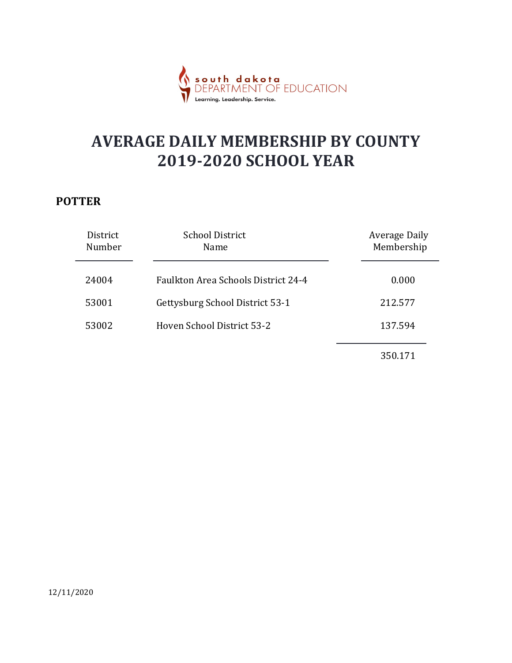

#### POTTER

|                    | <mark>dakota</mark><br>MENT OF EDUCATION<br>.<br>Learning. Leadership. Service. |                                    |  |
|--------------------|---------------------------------------------------------------------------------|------------------------------------|--|
|                    | <b>AVERAGE DAILY MEMBERSHIP BY COUNTY</b><br><b>2019-2020 SCHOOL YEAR</b>       |                                    |  |
| TTER               |                                                                                 |                                    |  |
| District<br>Number | <b>School District</b><br>Name                                                  | <b>Average Daily</b><br>Membership |  |
| 24004              | Faulkton Area Schools District 24-4                                             | 0.000                              |  |
| 53001              | Gettysburg School District 53-1                                                 | 212.577                            |  |
| 53002              | Hoven School District 53-2                                                      | 137.594                            |  |
|                    |                                                                                 | 350.171                            |  |
|                    |                                                                                 |                                    |  |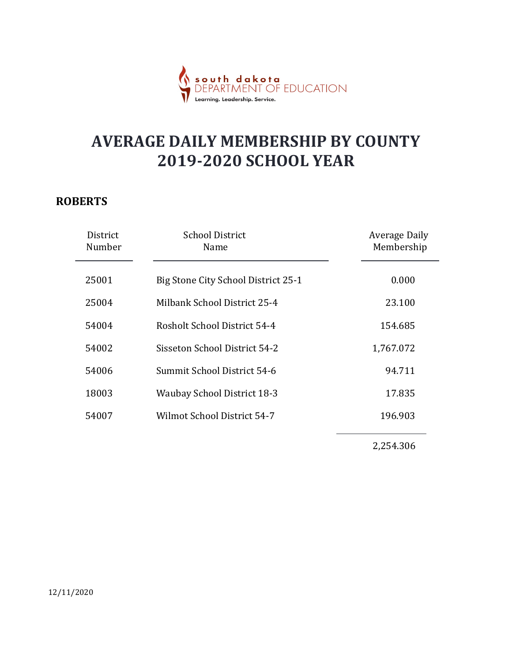

#### ROBERTS

|                                    | south dakota<br>DEPARTMENT OF EDUCATION<br>Learning. Leadership. Service. |                                    |
|------------------------------------|---------------------------------------------------------------------------|------------------------------------|
|                                    | <b>AVERAGE DAILY MEMBERSHIP BY COUNTY</b><br><b>2019-2020 SCHOOL YEAR</b> |                                    |
| <b>BERTS</b><br>District<br>Number | <b>School District</b><br>Name                                            | <b>Average Daily</b><br>Membership |
| 25001                              | Big Stone City School District 25-1                                       | 0.000                              |
| 25004                              | Milbank School District 25-4                                              | 23.100                             |
| 54004                              | Rosholt School District 54-4                                              | 154.685                            |
| 54002                              | Sisseton School District 54-2                                             | 1,767.072                          |
| 54006                              | Summit School District 54-6                                               | 94.711                             |
| 18003                              | Waubay School District 18-3                                               | 17.835                             |
| 54007                              | Wilmot School District 54-7                                               | 196.903                            |
|                                    |                                                                           | 2,254.306                          |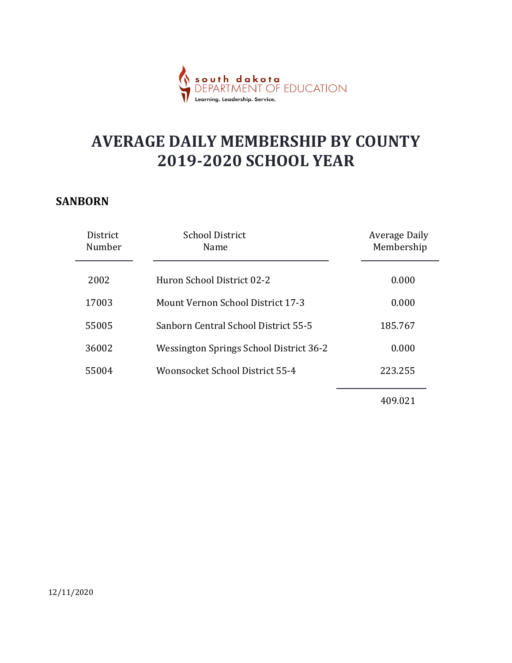

#### SANBORN

| <b>AVERAGE DAILY MEMBERSHIP BY COUNTY</b><br><b>2019-2020 SCHOOL YEAR</b><br><b>NBORN</b><br><b>School District</b><br>Average Daily<br>District<br>Membership<br>Number<br>Name<br>2002<br>Huron School District 02-2<br>0.000 |
|---------------------------------------------------------------------------------------------------------------------------------------------------------------------------------------------------------------------------------|
|                                                                                                                                                                                                                                 |
|                                                                                                                                                                                                                                 |
|                                                                                                                                                                                                                                 |
|                                                                                                                                                                                                                                 |
| Mount Vernon School District 17-3<br>17003<br>0.000                                                                                                                                                                             |
| Sanborn Central School District 55-5<br>185.767<br>55005                                                                                                                                                                        |
| 36002<br>Wessington Springs School District 36-2<br>0.000                                                                                                                                                                       |
| Woonsocket School District 55-4<br>55004<br>223.255                                                                                                                                                                             |
| 409.021                                                                                                                                                                                                                         |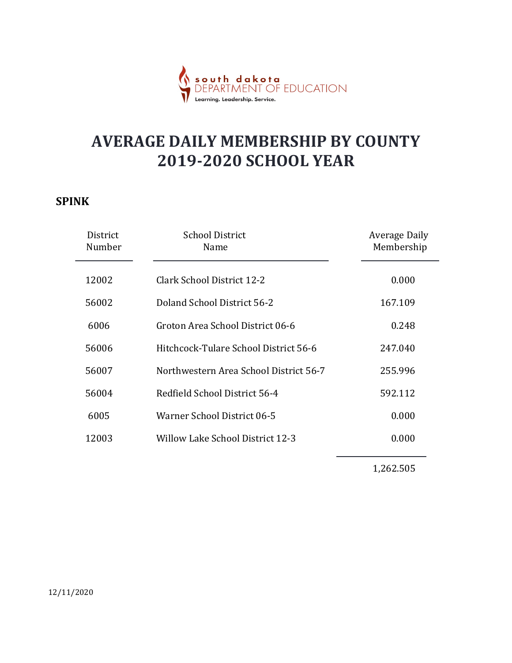

#### SPINK

|                    | <mark>t<b>h dakota</b><br/>RTMENT OF EDUCATION</mark>                     |                                    |
|--------------------|---------------------------------------------------------------------------|------------------------------------|
|                    | <b>AVERAGE DAILY MEMBERSHIP BY COUNTY</b><br><b>2019-2020 SCHOOL YEAR</b> |                                    |
| <b>NK</b>          |                                                                           |                                    |
| District<br>Number | <b>School District</b><br>Name                                            | <b>Average Daily</b><br>Membership |
| 12002              | <b>Clark School District 12-2</b>                                         | 0.000                              |
| 56002              | Doland School District 56-2                                               | 167.109                            |
| 6006               | Groton Area School District 06-6                                          | 0.248                              |
| 56006              | Hitchcock-Tulare School District 56-6                                     | 247.040                            |
| 56007              | Northwestern Area School District 56-7                                    | 255.996                            |
| 56004              | Redfield School District 56-4                                             | 592.112                            |
| 6005               | Warner School District 06-5                                               | 0.000                              |
| 12003              | <b>Willow Lake School District 12-3</b>                                   | 0.000                              |
|                    |                                                                           | 1,262.505                          |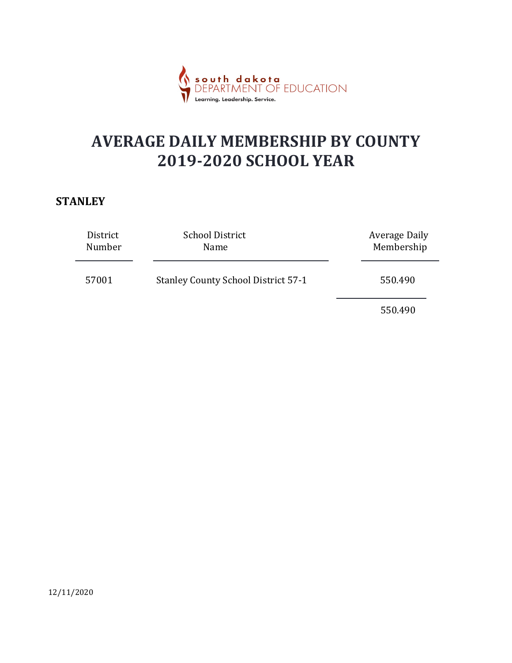

#### **STANLEY**

|                    | south dakota<br>DFPARTMENT OF EDUCATION<br>Learning. Leadership. Service. |                                    |  |
|--------------------|---------------------------------------------------------------------------|------------------------------------|--|
|                    | <b>AVERAGE DAILY MEMBERSHIP BY COUNTY</b><br><b>2019-2020 SCHOOL YEAR</b> |                                    |  |
| <b>NLEY</b>        |                                                                           |                                    |  |
| District<br>Number | <b>School District</b><br>Name                                            | <b>Average Daily</b><br>Membership |  |
| 57001              | <b>Stanley County School District 57-1</b>                                | 550.490                            |  |
|                    |                                                                           | 550.490                            |  |
|                    |                                                                           |                                    |  |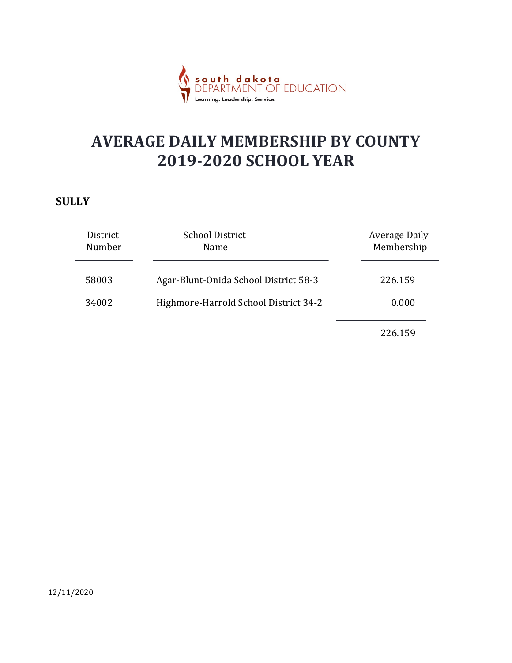

#### **SULLY**

|                    | uth dakota<br>PARTMENT OF EDUCATION<br>Learning. Leadership. Service.     |                                    |  |
|--------------------|---------------------------------------------------------------------------|------------------------------------|--|
|                    | <b>AVERAGE DAILY MEMBERSHIP BY COUNTY</b><br><b>2019-2020 SCHOOL YEAR</b> |                                    |  |
| .LY                |                                                                           |                                    |  |
| District<br>Number | <b>School District</b><br>Name                                            | <b>Average Daily</b><br>Membership |  |
| 58003              | Agar-Blunt-Onida School District 58-3                                     | 226.159                            |  |
| 34002              | Highmore-Harrold School District 34-2                                     | 0.000                              |  |
|                    |                                                                           | 226.159                            |  |
|                    |                                                                           |                                    |  |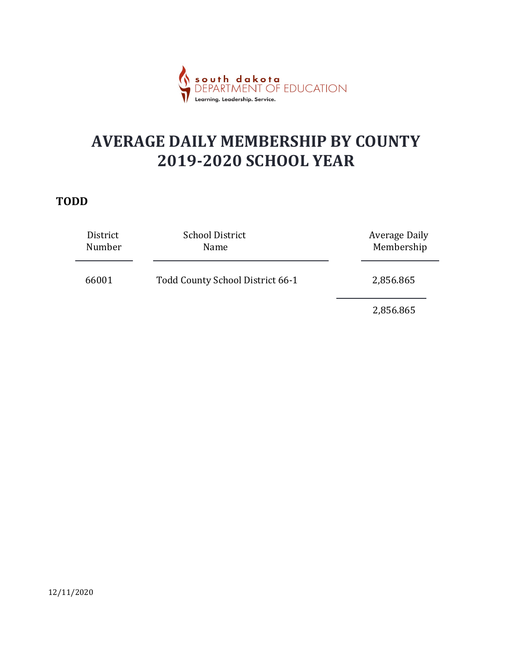

#### TODD

|                    | south dakota<br>DEPARTMENT OF EDUCATION<br>Learning. Leadership. Service. |                                    |  |
|--------------------|---------------------------------------------------------------------------|------------------------------------|--|
|                    | <b>AVERAGE DAILY MEMBERSHIP BY COUNTY</b><br><b>2019-2020 SCHOOL YEAR</b> |                                    |  |
| DD                 |                                                                           |                                    |  |
| District<br>Number | <b>School District</b><br>Name                                            | <b>Average Daily</b><br>Membership |  |
| 66001              | Todd County School District 66-1                                          | 2,856.865                          |  |
|                    |                                                                           | 2,856.865                          |  |
|                    |                                                                           |                                    |  |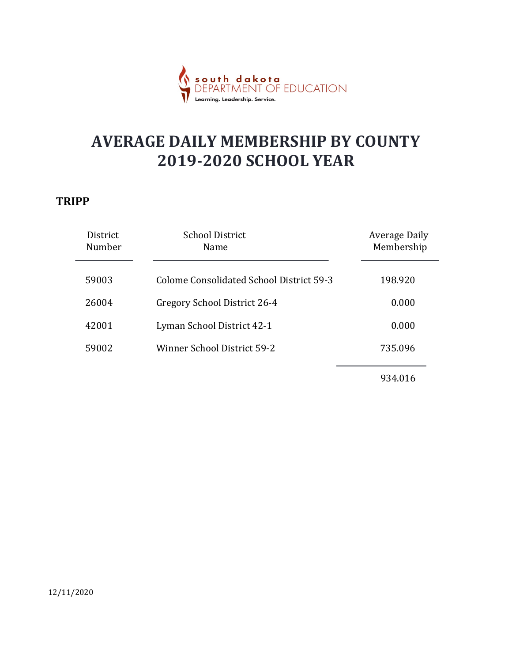

#### TRIPP

|                                     | dakota<br>MFNT OF EDUCATION<br>Learning. Leadership. Service.             |                                    |
|-------------------------------------|---------------------------------------------------------------------------|------------------------------------|
|                                     | <b>AVERAGE DAILY MEMBERSHIP BY COUNTY</b><br><b>2019-2020 SCHOOL YEAR</b> |                                    |
| $\mathbf{PP}$<br>District<br>Number | <b>School District</b><br>Name                                            | <b>Average Daily</b><br>Membership |
| 59003                               | <b>Colome Consolidated School District 59-3</b>                           | 198.920                            |
| 26004                               | Gregory School District 26-4                                              | 0.000                              |
| 42001                               | Lyman School District 42-1                                                | 0.000                              |
| 59002                               | Winner School District 59-2                                               | 735.096                            |
|                                     |                                                                           | 934.016                            |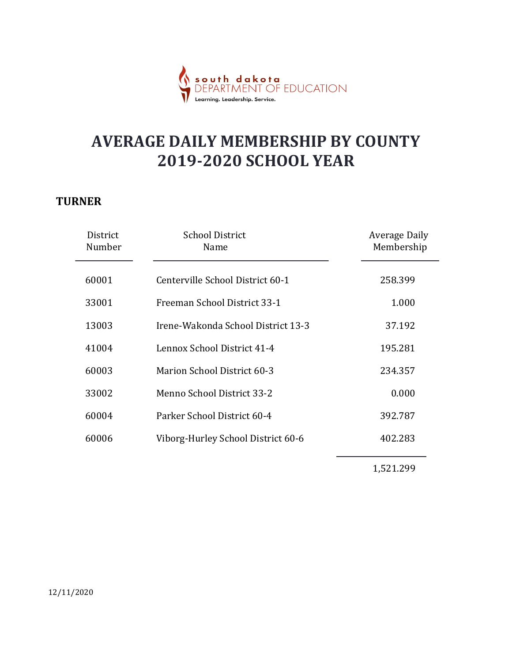

#### **TURNER**

|                    | <mark>th dakota</mark><br>ARTMENT OF EDUCATION                            |                                    |
|--------------------|---------------------------------------------------------------------------|------------------------------------|
|                    | <b>AVERAGE DAILY MEMBERSHIP BY COUNTY</b><br><b>2019-2020 SCHOOL YEAR</b> |                                    |
| RNER               |                                                                           |                                    |
| District<br>Number | <b>School District</b><br>Name                                            | <b>Average Daily</b><br>Membership |
| 60001              | Centerville School District 60-1                                          | 258.399                            |
| 33001              | Freeman School District 33-1                                              | 1.000                              |
| 13003              | Irene-Wakonda School District 13-3                                        | 37.192                             |
| 41004              | Lennox School District 41-4                                               | 195.281                            |
| 60003              | Marion School District 60-3                                               | 234.357                            |
| 33002              | Menno School District 33-2                                                | 0.000                              |
| 60004              | Parker School District 60-4                                               | 392.787                            |
| 60006              | Viborg-Hurley School District 60-6                                        | 402.283                            |
|                    |                                                                           | 1,521.299                          |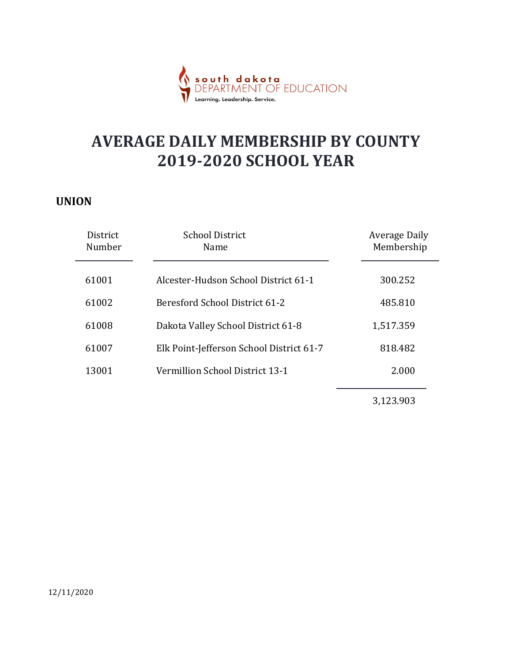

#### UNION

|                    | <mark>dakota</mark><br>MENT OF EDUCATION<br>Leadership. Service           |                                    |
|--------------------|---------------------------------------------------------------------------|------------------------------------|
|                    | <b>AVERAGE DAILY MEMBERSHIP BY COUNTY</b><br><b>2019-2020 SCHOOL YEAR</b> |                                    |
| <b>ION</b>         |                                                                           |                                    |
| District<br>Number | <b>School District</b><br>Name                                            | <b>Average Daily</b><br>Membership |
| 61001              | Alcester-Hudson School District 61-1                                      | 300.252                            |
| 61002              | Beresford School District 61-2                                            | 485.810                            |
| 61008              | Dakota Valley School District 61-8                                        | 1,517.359                          |
| 61007              | Elk Point-Jefferson School District 61-7                                  | 818.482                            |
| 13001              | Vermillion School District 13-1                                           | 2.000                              |
|                    |                                                                           | 3,123.903                          |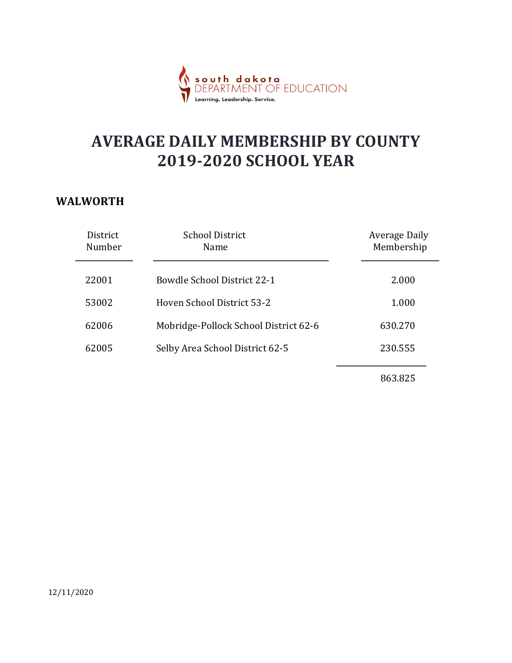

#### WALWORTH

|                                     | dakota<br>MENT OF EDUCATION                                               |                                    |
|-------------------------------------|---------------------------------------------------------------------------|------------------------------------|
|                                     | <b>AVERAGE DAILY MEMBERSHIP BY COUNTY</b><br><b>2019-2020 SCHOOL YEAR</b> |                                    |
| <b>LWORTH</b><br>District<br>Number | <b>School District</b><br>Name                                            | <b>Average Daily</b><br>Membership |
|                                     |                                                                           |                                    |
| 22001                               | <b>Bowdle School District 22-1</b>                                        | 2.000                              |
| 53002                               | Hoven School District 53-2                                                | 1.000                              |
| 62006                               | Mobridge-Pollock School District 62-6                                     | 630.270                            |
| 62005                               | Selby Area School District 62-5                                           | 230.555                            |
|                                     |                                                                           | 863.825                            |
|                                     |                                                                           |                                    |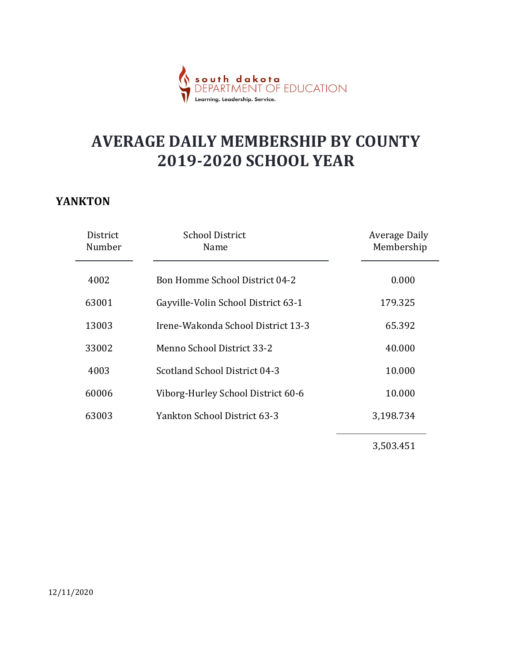

#### YANKTON

|                    | south dakota<br>DEPARTMENT OF EDUCATION<br>Learning. Leadership. Service  |                                    |
|--------------------|---------------------------------------------------------------------------|------------------------------------|
|                    | <b>AVERAGE DAILY MEMBERSHIP BY COUNTY</b><br><b>2019-2020 SCHOOL YEAR</b> |                                    |
| NKTON              |                                                                           |                                    |
| District<br>Number | <b>School District</b><br>Name                                            | <b>Average Daily</b><br>Membership |
| 4002               | Bon Homme School District 04-2                                            | 0.000                              |
| 63001              | Gayville-Volin School District 63-1                                       | 179.325                            |
| 13003              | Irene-Wakonda School District 13-3                                        | 65.392                             |
| 33002              | Menno School District 33-2                                                | 40.000                             |
| 4003               | Scotland School District 04-3                                             | 10.000                             |
| 60006              | Viborg-Hurley School District 60-6                                        | 10.000                             |
| 63003              | Yankton School District 63-3                                              | 3,198.734                          |
|                    |                                                                           | 3,503.451                          |